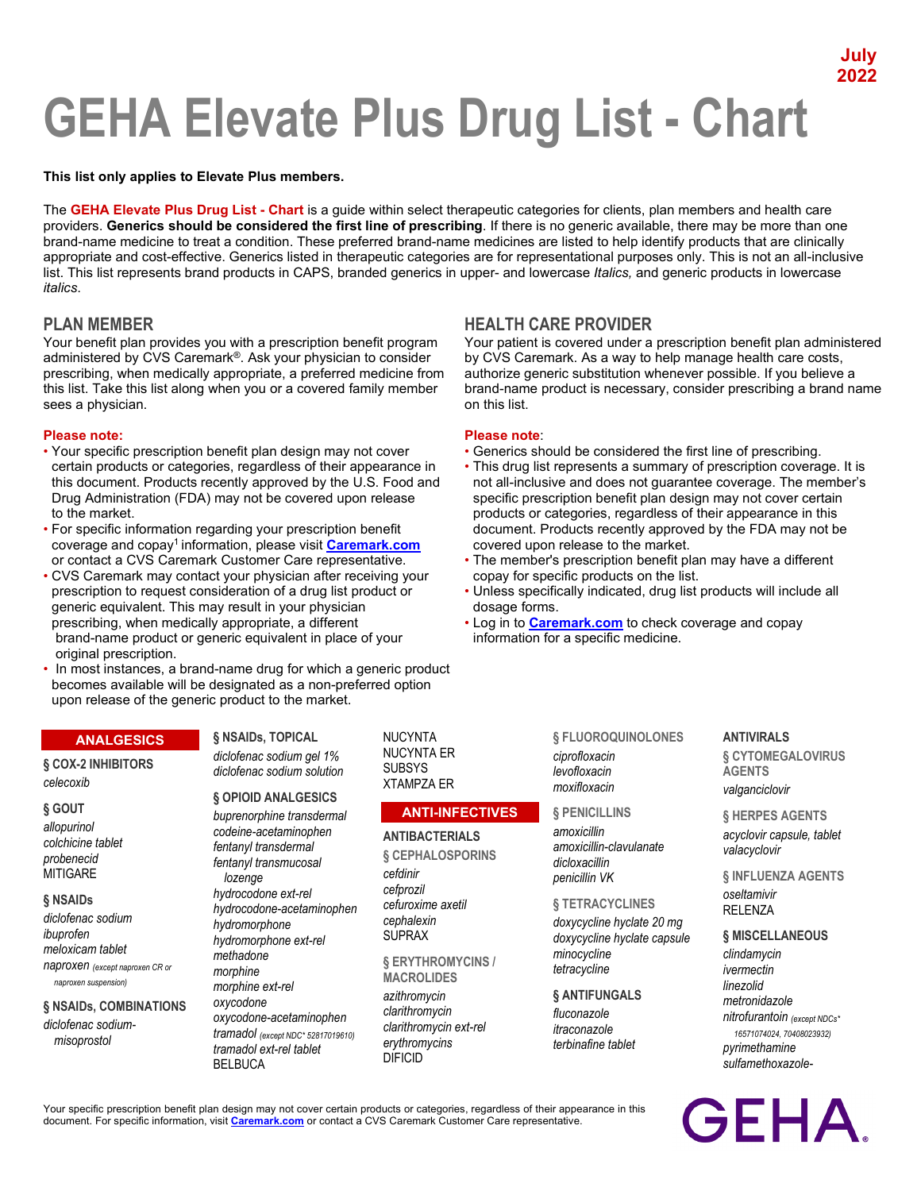# **July 2022**

# **GEHA Elevate Plus Drug List - Chart**

## **This list only applies to Elevate Plus members.**

The **GEHA Elevate Plus Drug List - Chart** is a guide within select therapeutic categories for clients, plan members and health care providers. **Generics should be considered the first line of prescribing**. If there is no generic available, there may be more than one brand-name medicine to treat a condition. These preferred brand-name medicines are listed to help identify products that are clinically appropriate and cost-effective. Generics listed in therapeutic categories are for representational purposes only. This is not an all-inclusive list. This list represents brand products in CAPS, branded generics in upper- and lowercase *Italics,* and generic products in lowercase *italics*.

on this list.

# **PLAN MEMBER HEALTH CARE PROVIDER**

Your benefit plan provides you with a prescription benefit program administered by CVS Caremark®. Ask your physician to consider prescribing, when medically appropriate, a preferred medicine from this list. Take this list along when you or a covered family member sees a physician.

## **Please note: Please note**:

- Your specific prescription benefit plan design may not cover Generics should be considered the first line of prescribing.<br>• This drug list represents a summary of prescription covera This drug list represents a summa this document. Products recently approved by the U.S. Food and not all-inclusive and does not guarantee coverage. The member's Drug Administration (FDA) may not be covered upon release specific prescription benefit plan design may not cover certain to the market.<br>For specific information regarding your prescription benefit entity document. Products recently approved by the FDA may not belief their appearance in this
- coverage and copay<sup>1</sup> information, please visit **[Caremark.com](https://www.caremark.com/)**<br>or contact a CVS Caremark Customer Care representative.
- CVS Caremark may contact your physician after receiving your copay for specific products on the list. prescription to request consideration of a drug list product or • Unless specifically indicated, drug list products will include all generic equivalent. This may result in your physician dosage forms. prescribing, when medically appropriate, a different • Log in to **[Caremark.com](https://www.caremark.com/)** to check coverage and copay brand-name product or generic equivalent in place of your information for a specific medicine. original prescription.
- In most instances, a brand-name drug for which a generic product becomes available will be designated as a non-preferred option upon release of the generic product to the market.

## **ANALGESICS**

**§ COX-2 INHIBITORS** *celecoxib*

#### **§ GOUT**

*allopurinol colchicine tablet probenecid* **MITIGARE** 

#### **§ NSAIDs**

*diclofenac sodium ibuprofen meloxicam tablet naproxen (except naproxen CR or naproxen suspension)*

#### **§ NSAIDs, COMBINATIONS**

*diclofenac sodiummisoprostol*

# **§ NSAIDs, TOPICAL** *diclofenac sodium gel 1%*

*diclofenac sodium solution*

#### **§ OPIOID ANALGESICS**

*buprenorphine transdermal codeine-acetaminophen fentanyl transdermal fentanyl transmucosal lozenge hydrocodone ext-rel hydrocodone-acetaminophen hydromorphone hydromorphone ext-rel methadone morphine morphine ext-rel oxycodone oxycodone-acetaminophen tramadol (except NDC\* 52817019610) tramadol ext-rel tablet* BELBUCA

NUCYNTA NUCYNTA ER SUBSYS XTAMPZA ER

## **ANTI-INFECTIVES**

**ANTIBACTERIALS § CEPHALOSPORINS** *cefdinir cefprozil cefuroxime axetil cephalexin* SUPRAX

**§ ERYTHROMYCINS /** 

**MACROLIDES** *azithromycin clarithromycin clarithromycin ext-rel erythromycins* DIFICID

**§ FLUOROQUINOLONES** *ciprofloxacin levofloxacin moxifloxacin*

Your patient is covered under a prescription benefit plan administered by CVS Caremark. As a way to help manage health care costs, authorize generic substitution whenever possible. If you believe a brand-name product is necessary, consider prescribing a brand name

• This drug list represents a summary of prescription coverage. It is

document. Products recently approved by the FDA may not be covered upon release to the market.

• The member's prescription benefit plan may have a different

## **§ PENICILLINS**

*amoxicillin amoxicillin-clavulanate dicloxacillin penicillin VK*

### **§ TETRACYCLINES**

*doxycycline hyclate 20 mg doxycycline hyclate capsule minocycline tetracycline*

## **§ ANTIFUNGALS**

*fluconazole itraconazole terbinafine tablet*

#### **ANTIVIRALS**

**§ CYTOMEGALOVIRUS AGENTS** *valganciclovir*

**§ HERPES AGENTS** *acyclovir capsule, tablet valacyclovir*

**§ INFLUENZA AGENTS** *oseltamivir* RELENZA

# **§ MISCELLANEOUS**

*clindamycin ivermectin linezolid metronidazole nitrofurantoin (except NDCs\* 16571074024, 70408023932) pyrimethamine sulfamethoxazole-*

Your specific prescription benefit plan design may not cover certain products or categories, regardless of their appearance in this document. For specific information, visit **[Caremark.com](https://www.caremark.com/)** or contact a CVS Caremark Customer Care representative.

**GEHA**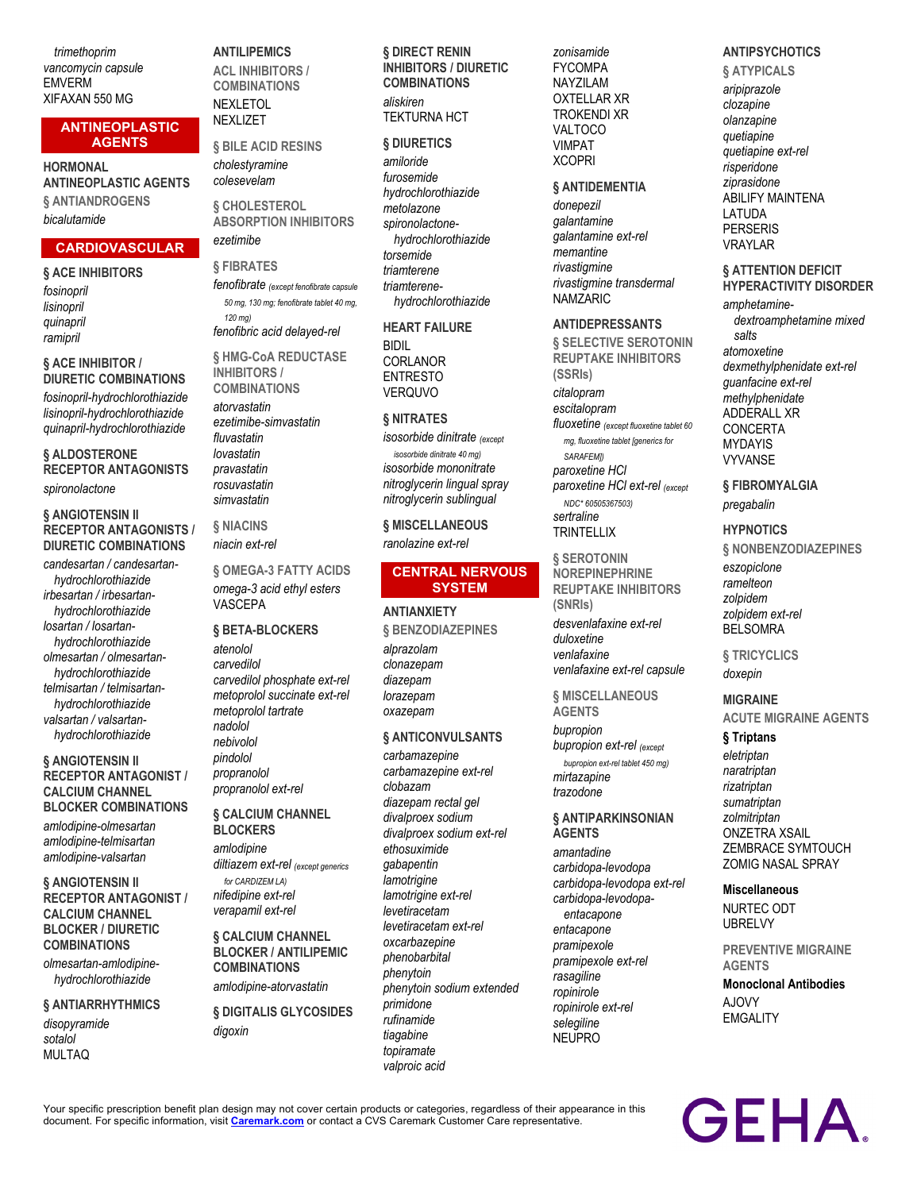*trimethoprim vancomycin capsule* EMVERM XIFAXAN 550 MG

### **ANTINEOPLASTIC AGENTS**

**HORMONAL ANTINEOPLASTIC AGENTS § ANTIANDROGENS** *bicalutamide*

# **CARDIOVASCULAR**

**§ ACE INHIBITORS** *fosinopril lisinopril quinapril ramipril*

#### **§ ACE INHIBITOR / DIURETIC COMBINATIONS**

*fosinopril-hydrochlorothiazide lisinopril-hydrochlorothiazide quinapril-hydrochlorothiazide*

**§ ALDOSTERONE RECEPTOR ANTAGONISTS** *spironolactone*

#### **§ ANGIOTENSIN II RECEPTOR ANTAGONISTS / DIURETIC COMBINATIONS**

*candesartan / candesartanhydrochlorothiazide irbesartan / irbesartanhydrochlorothiazide losartan / losartanhydrochlorothiazide olmesartan / olmesartanhydrochlorothiazide telmisartan / telmisartanhydrochlorothiazide valsartan / valsartanhydrochlorothiazide*

## **§ ANGIOTENSIN II RECEPTOR ANTAGONIST / CALCIUM CHANNEL BLOCKER COMBINATIONS**

*amlodipine-olmesartan amlodipine-telmisartan amlodipine-valsartan*

## **§ ANGIOTENSIN II RECEPTOR ANTAGONIST / CALCIUM CHANNEL BLOCKER / DIURETIC COMBINATIONS**

*olmesartan-amlodipinehydrochlorothiazide*

## **§ ANTIARRHYTHMICS**

*disopyramide sotalol* MULTAQ

### **ANTILIPEMICS**

**ACL INHIBITORS / COMBINATIONS** NEXLETOL **NEXLIZET** 

**§ BILE ACID RESINS** *cholestyramine colesevelam*

**§ CHOLESTEROL ABSORPTION INHIBITORS** *ezetimibe*

**§ FIBRATES** *fenofibrate (except fenofibrate capsule 50 mg, 130 mg; fenofibrate tablet 40 mg, 120 mg) fenofibric acid delayed-rel*

**§ HMG-CoA REDUCTASE INHIBITORS / COMBINATIONS**

*atorvastatin ezetimibe-simvastatin fluvastatin lovastatin pravastatin rosuvastatin simvastatin*

**§ NIACINS** *niacin ext-rel*

**§ OMEGA-3 FATTY ACIDS** *omega-3 acid ethyl esters* VASCEPA

#### **§ BETA-BLOCKERS**

*atenolol carvedilol carvedilol phosphate ext-rel metoprolol succinate ext-rel metoprolol tartrate nadolol nebivolol pindolol propranolol propranolol ext-rel*

### **§ CALCIUM CHANNEL BLOCKERS**

*amlodipine diltiazem ext-rel (except generics for CARDIZEM LA) nifedipine ext-rel verapamil ext-rel*

**§ CALCIUM CHANNEL BLOCKER / ANTILIPEMIC COMBINATIONS**

*amlodipine-atorvastatin*

**§ DIGITALIS GLYCOSIDES** *digoxin*

## **§ DIRECT RENIN INHIBITORS / DIURETIC COMBINATIONS**

*aliskiren* TEKTURNA HCT

## **§ DIURETICS**

*amiloride furosemide hydrochlorothiazide metolazone spironolactonehydrochlorothiazide torsemide triamterene triamterenehydrochlorothiazide*

# **HEART FAILURE** BIDIL CORLANOR

ENTRESTO VERQUVO

## **§ NITRATES**

*isosorbide dinitrate (except isosorbide dinitrate 40 mg) isosorbide mononitrate nitroglycerin lingual spray nitroglycerin sublingual*

**§ MISCELLANEOUS** *ranolazine ext-rel*

## **CENTRAL NERVOUS SYSTEM**

### **ANTIANXIETY**

**§ BENZODIAZEPINES** *alprazolam clonazepam diazepam lorazepam oxazepam*

### **§ ANTICONVULSANTS**

*carbamazepine carbamazepine ext-rel clobazam diazepam rectal gel divalproex sodium divalproex sodium ext-rel ethosuximide gabapentin lamotrigine lamotrigine ext-rel levetiracetam levetiracetam ext-rel oxcarbazepine phenobarbital phenytoin phenytoin sodium extended primidone rufinamide tiagabine topiramate valproic acid*

*zonisamide* FYCOMPA NAYZILAM OXTELLAR XR TROKENDI XR VALTOCO VIMPAT **XCOPRI** 

## **§ ANTIDEMENTIA**

*donepezil galantamine galantamine ext-rel memantine rivastigmine rivastigmine transdermal* NAMZARIC

#### **ANTIDEPRESSANTS**

**§ SELECTIVE SEROTONIN REUPTAKE INHIBITORS (SSRIs)**

*citalopram escitalopram*

*fluoxetine (except fluoxetine tablet 60 mg, fluoxetine tablet [generics for SARAFEM]) paroxetine HCl paroxetine HCl ext-rel (except NDC\* 60505367503)*

*sertraline* **TRINTELLIX** 

**§ SEROTONIN NOREPINEPHRINE REUPTAKE INHIBITORS (SNRIs)** *desvenlafaxine ext-rel duloxetine venlafaxine venlafaxine ext-rel capsule*

**§ MISCELLANEOUS AGENTS**

*bupropion bupropion ext-rel (except bupropion ext-rel tablet 450 mg) mirtazapine trazodone*

#### **§ ANTIPARKINSONIAN AGENTS**

*amantadine carbidopa-levodopa carbidopa-levodopa ext-rel carbidopa-levodopaentacapone entacapone pramipexole pramipexole ext-rel rasagiline ropinirole ropinirole ext-rel selegiline* NEUPRO

# **ANTIPSYCHOTICS**

**§ ATYPICALS** *aripiprazole clozapine olanzapine quetiapine quetiapine ext-rel risperidone ziprasidone* ABILIFY MAINTENA LATUDA PERSERIS VRAYLAR

## **§ ATTENTION DEFICIT HYPERACTIVITY DISORDER**

*amphetaminedextroamphetamine mixed salts atomoxetine dexmethylphenidate ext-rel guanfacine ext-rel methylphenidate* ADDERALL XR **CONCERTA** MYDAYIS VYVANSE

**§ FIBROMYALGIA** *pregabalin*

#### **HYPNOTICS**

**§ NONBENZODIAZEPINES** *eszopiclone ramelteon zolpidem zolpidem ext-rel* **BELSOMRA** 

**§ TRICYCLICS** *doxepin*

**MIGRAINE ACUTE MIGRAINE AGENTS**

# **§ Triptans**

*eletriptan naratriptan rizatriptan sumatriptan zolmitriptan* ONZETRA XSAIL ZEMBRACE SYMTOUCH ZOMIG NASAL SPRAY

#### **Miscellaneous**

NURTEC ODT UBRELVY

**PREVENTIVE MIGRAINE AGENTS**

**Monoclonal Antibodies** A.IOVY **EMGALITY** 

**GEHA** 

Your specific prescription benefit plan design may not cover certain products or categories, regardless of their appearance in this document. For specific information, visit **[Caremark.com](https://www.caremark.com/)** or contact a CVS Caremark Customer Care representative.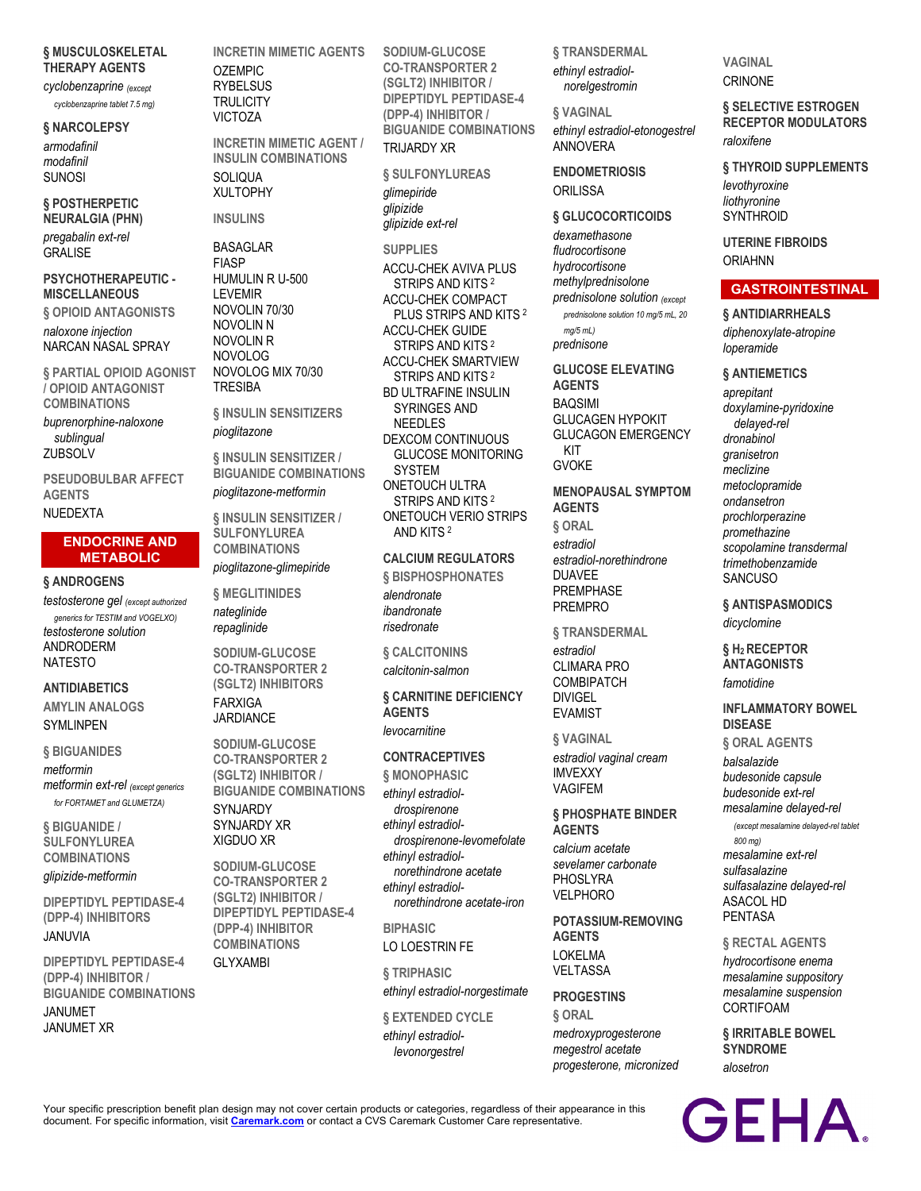## **§ MUSCULOSKELETAL THERAPY AGENTS**

*cyclobenzaprine (except cyclobenzaprine tablet 7.5 mg)*

## **§ NARCOLEPSY**

*armodafinil modafinil* SUNOSI

## **§ POSTHERPETIC NEURALGIA (PHN)**

*pregabalin ext-rel* GRALISE

## **PSYCHOTHERAPEUTIC - MISCELLANEOUS**

**§ OPIOID ANTAGONISTS** *naloxone injection* NARCAN NASAL SPRAY

**§ PARTIAL OPIOID AGONIST / OPIOID ANTAGONIST COMBINATIONS**

*buprenorphine-naloxone sublingual* **ZUBSOLV** 

**PSEUDOBULBAR AFFECT AGENTS** NUEDEXTA

# **ENDOCRINE AND METABOLIC**

**§ ANDROGENS**

*testosterone gel (except authorized generics for TESTIM and VOGELXO) testosterone solution* ANDRODERM NATESTO

## **ANTIDIABETICS AMYLIN ANALOGS**

**SYMLINPEN** 

## **§ BIGUANIDES**

*metformin metformin ext-rel (except generics for FORTAMET and GLUMETZA)*

**§ BIGUANIDE / SULFONYLUREA COMBINATIONS** *glipizide-metformin*

**DIPEPTIDYL PEPTIDASE-4 (DPP-4) INHIBITORS** JANUVIA

**DIPEPTIDYL PEPTIDASE-4 (DPP-4) INHIBITOR / BIGUANIDE COMBINATIONS** JANUMET JANUMET XR

**INCRETIN MIMETIC AGENTS** OZEMPIC **RYBELSUS TRULICITY** VICTOZA

**INCRETIN MIMETIC AGENT / INSULIN COMBINATIONS** SOLIQUA XULTOPHY

## **INSULINS**

BASAGLAR FIASP HUMULIN R U-500 LEVEMIR NOVOLIN 70/30 NOVOLIN N NOVOLIN R NOVOLOG NOVOLOG MIX 70/30 **TRESIBA** 

**§ INSULIN SENSITIZERS** *pioglitazone*

**§ INSULIN SENSITIZER / BIGUANIDE COMBINATIONS** *pioglitazone-metformin*

**§ INSULIN SENSITIZER / SULFONYLUREA COMBINATIONS** *pioglitazone-glimepiride*

**§ MEGLITINIDES** *nateglinide repaglinide*

**SODIUM-GLUCOSE CO-TRANSPORTER 2 (SGLT2) INHIBITORS** FARXIGA JARDIANCE

**SODIUM-GLUCOSE CO-TRANSPORTER 2 (SGLT2) INHIBITOR / BIGUANIDE COMBINATIONS SYNJARDY** 

SYNJARDY XR XIGDUO XR

**SODIUM-GLUCOSE CO-TRANSPORTER 2 (SGLT2) INHIBITOR / DIPEPTIDYL PEPTIDASE-4 (DPP-4) INHIBITOR COMBINATIONS**

GLYXAMBI

**SODIUM-GLUCOSE CO-TRANSPORTER 2 (SGLT2) INHIBITOR / DIPEPTIDYL PEPTIDASE-4 (DPP-4) INHIBITOR / BIGUANIDE COMBINATIONS** TRIJARDY XR

**§ SULFONYLUREAS** *glimepiride glipizide glipizide ext-rel*

**SUPPLIES** ACCU-CHEK AVIVA PLUS STRIPS AND KITS <sup>2</sup> ACCU-CHEK COMPACT PLUS STRIPS AND KITS <sup>2</sup> ACCU-CHEK GUIDE STRIPS AND KITS <sup>2</sup> ACCU-CHEK SMARTVIEW STRIPS AND KITS <sup>2</sup> BD ULTRAFINE INSULIN SYRINGES AND NEEDLES DEXCOM CONTINUOUS GLUCOSE MONITORING SYSTEM ONETOUCH ULTRA STRIPS AND KITS <sup>2</sup> ONETOUCH VERIO STRIPS AND KITS <sup>2</sup>

# **CALCIUM REGULATORS**

**§ BISPHOSPHONATES** *alendronate ibandronate risedronate*

**§ CALCITONINS** *calcitonin-salmon*

**§ CARNITINE DEFICIENCY AGENTS** *levocarnitine*

# **CONTRACEPTIVES**

**§ MONOPHASIC** *ethinyl estradioldrospirenone ethinyl estradioldrospirenone-levomefolate ethinyl estradiolnorethindrone acetate ethinyl estradiolnorethindrone acetate-iron*

**BIPHASIC**

LO LOESTRIN FE

**§ TRIPHASIC** *ethinyl estradiol-norgestimate*

**§ EXTENDED CYCLE** *ethinyl estradiollevonorgestrel*

**§ TRANSDERMAL** *ethinyl estradiolnorelgestromin*

**§ VAGINAL** *ethinyl estradiol-etonogestrel* ANNOVERA

# **ENDOMETRIOSIS ORILISSA**

# **§ GLUCOCORTICOIDS**

*dexamethasone fludrocortisone hydrocortisone methylprednisolone prednisolone solution (except prednisolone solution 10 mg/5 mL, 20 mg/5 mL) prednisone*

**GLUCOSE ELEVATING AGENTS BAQSIMI** GLUCAGEN HYPOKIT GLUCAGON EMERGENCY KIT GVOKE

# **MENOPAUSAL SYMPTOM**

**AGENTS § ORAL** *estradiol estradiol-norethindrone* DUAVEE PREMPHASE PREMPRO

**§ TRANSDERMAL** *estradiol* CLIMARA PRO COMBIPATCH DIVIGEL EVAMIST

**§ VAGINAL** *estradiol vaginal cream* IMVEXXY VAGIFEM

## **§ PHOSPHATE BINDER AGENTS**

*calcium acetate sevelamer carbonate* PHOSLYRA VELPHORO

**POTASSIUM-REMOVING AGENTS** LOKELMA VELTASSA

# **PROGESTINS**

**§ ORAL** *medroxyprogesterone megestrol acetate progesterone, micronized* **VAGINAL CRINONE** 

**§ SELECTIVE ESTROGEN RECEPTOR MODULATORS** *raloxifene*

**§ THYROID SUPPLEMENTS**

*levothyroxine liothyronine* **SYNTHROID** 

**UTERINE FIBROIDS** ORIAHNN

# **GASTROINTESTINAL**

**§ ANTIDIARRHEALS** *diphenoxylate-atropine loperamide*

**§ ANTIEMETICS** *aprepitant doxylamine-pyridoxine delayed-rel dronabinol granisetron meclizine metoclopramide ondansetron prochlorperazine promethazine scopolamine transdermal trimethobenzamide* SANCUSO

**§ ANTISPASMODICS** *dicyclomine*

## **§ H2 RECEPTOR ANTAGONISTS**

*famotidine*

# **INFLAMMATORY BOWEL DISEASE**

**§ ORAL AGENTS** *balsalazide*

*budesonide capsule budesonide ext-rel mesalamine delayed-rel* 

*(except mesalamine delayed-rel tablet 800 mg) mesalamine ext-rel sulfasalazine sulfasalazine delayed-rel* ASACOL HD

PENTASA

**§ RECTAL AGENTS**

*hydrocortisone enema mesalamine suppository mesalamine suspension* CORTIFOAM

**§ IRRITABLE BOWEL SYNDROME** *alosetron*

Your specific prescription benefit plan design may not cover certain products or categories, regardless of their appearance in this document. For specific information, visit **[Caremark.com](https://www.caremark.com/)** or contact a CVS Caremark Customer Care representative.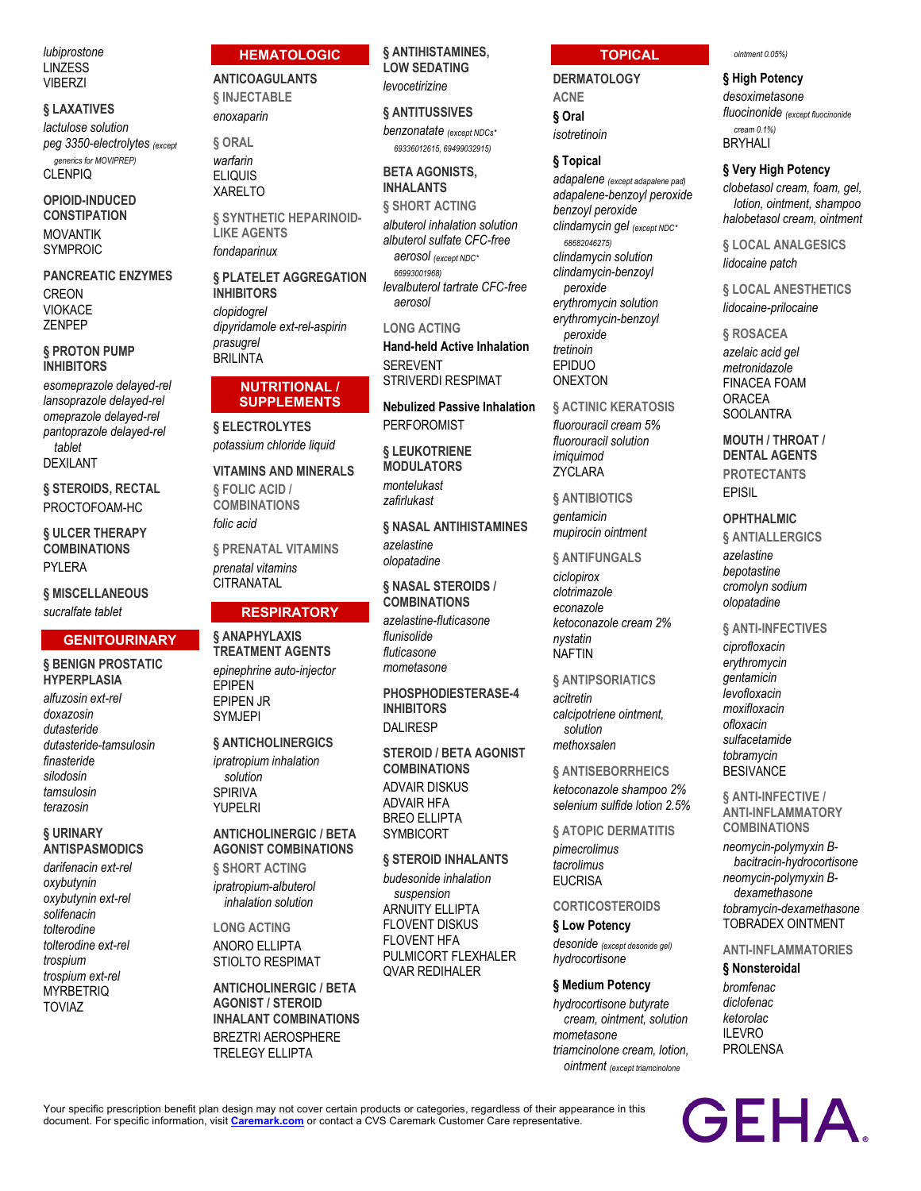*lubiprostone* LINZESS **VIBERZI** 

### **§ LAXATIVES**

*lactulose solution peg 3350-electrolytes (except* 

*generics for MOVIPREP)* CLENPIQ

**OPIOID-INDUCED CONSTIPATION** MOVANTIK SYMPROIC

**PANCREATIC ENZYMES** CREON VIOKACE ZENPEP

## **§ PROTON PUMP INHIBITORS**

*esomeprazole delayed-rel lansoprazole delayed-rel omeprazole delayed-rel pantoprazole delayed-rel tablet* DEXILANT

**§ STEROIDS, RECTAL** PROCTOFOAM-HC

**§ ULCER THERAPY COMBINATIONS** PYLERA

**§ MISCELLANEOUS** *sucralfate tablet*

# **GENITOURINARY § BENIGN PROSTATIC**

**HYPERPLASIA** *alfuzosin ext-rel doxazosin dutasteride dutasteride-tamsulosin finasteride silodosin tamsulosin terazosin*

## **§ URINARY ANTISPASMODICS**

*darifenacin ext-rel oxybutynin oxybutynin ext-rel solifenacin tolterodine tolterodine ext-rel trospium trospium ext-rel* **MYRBETRIQ** TOVIAZ

# **HEMATOLOGIC**

**ANTICOAGULANTS**

**§ INJECTABLE** *enoxaparin*

**§ ORAL** *warfarin* ELIQUIS XARELTO

**§ SYNTHETIC HEPARINOID-LIKE AGENTS** *fondaparinux*

**§ PLATELET AGGREGATION INHIBITORS** *clopidogrel dipyridamole ext-rel-aspirin prasugrel* BRILINTA

## **NUTRITIONAL / SUPPLEMENTS**

**§ ELECTROLYTES** *potassium chloride liquid*

**VITAMINS AND MINERALS § FOLIC ACID / COMBINATIONS** *folic acid*

**§ PRENATAL VITAMINS** *prenatal vitamins* **CITRANATAL** 

# **RESPIRATORY**

**§ ANAPHYLAXIS TREATMENT AGENTS** *epinephrine auto-injector* EPIPEN EPIPEN JR SYMJEPI

**§ ANTICHOLINERGICS** *ipratropium inhalation solution* SPIRIVA YUPELRI

# **ANTICHOLINERGIC / BETA AGONIST COMBINATIONS**

**§ SHORT ACTING** *ipratropium-albuterol inhalation solution*

**LONG ACTING** ANORO ELLIPTA STIOLTO RESPIMAT

**ANTICHOLINERGIC / BETA AGONIST / STEROID INHALANT COMBINATIONS** BREZTRI AEROSPHERE TRELEGY ELLIPTA

# **§ ANTIHISTAMINES, LOW SEDATING**

*levocetirizine*

## **§ ANTITUSSIVES**

*benzonatate (except NDCs\* 69336012615, 69499032915)*

# **BETA AGONISTS, INHALANTS**

**§ SHORT ACTING** *albuterol inhalation solution albuterol sulfate CFC-free aerosol (except NDC\* 66993001968) levalbuterol tartrate CFC-free aerosol*

## **LONG ACTING**

**Hand-held Active Inhalation** SEREVENT STRIVERDI RESPIMAT

**Nebulized Passive Inhalation** PERFOROMIST

**§ LEUKOTRIENE MODULATORS** *montelukast*

*zafirlukast* **§ NASAL ANTIHISTAMINES**

*azelastine olopatadine*

**§ NASAL STEROIDS / COMBINATIONS** *azelastine-fluticasone flunisolide*

*fluticasone mometasone*

**PHOSPHODIESTERASE-4 INHIBITORS** DALIRESP

**STEROID / BETA AGONIST COMBINATIONS** ADVAIR DISKUS ADVAIR HFA BREO ELLIPTA SYMBICORT

**§ STEROID INHALANTS** *budesonide inhalation suspension* ARNUITY ELLIPTA FLOVENT DISKUS FLOVENT HFA PULMICORT FLEXHALER QVAR REDIHALER

# **TOPICAL**

**DERMATOLOGY ACNE § Oral** *isotretinoin*

# **§ Topical**

*adapalene (except adapalene pad) adapalene-benzoyl peroxide benzoyl peroxide clindamycin gel (except NDC\* 68682046275) clindamycin solution clindamycin-benzoyl peroxide erythromycin solution erythromycin-benzoyl peroxide tretinoin* EPIDUO ONEXTON

**§ ACTINIC KERATOSIS** *fluorouracil cream 5% fluorouracil solution imiquimod* ZYCLARA

**§ ANTIBIOTICS** *gentamicin mupirocin ointment*

## **§ ANTIFUNGALS**

*ciclopirox clotrimazole econazole ketoconazole cream 2% nystatin* NAFTIN

## **§ ANTIPSORIATICS**

*acitretin calcipotriene ointment, solution methoxsalen*

**§ ANTISEBORRHEICS** *ketoconazole shampoo 2% selenium sulfide lotion 2.5%*

**§ ATOPIC DERMATITIS** *pimecrolimus tacrolimus* EUCRISA

# **CORTICOSTEROIDS**

**§ Low Potency** *desonide (except desonide gel) hydrocortisone*

### **§ Medium Potency**

*hydrocortisone butyrate cream, ointment, solution mometasone triamcinolone cream, lotion, ointment (except triamcinolone* 

#### *ointment 0.05%)*

### **§ High Potency**

*desoximetasone fluocinonide (except fluocinonide cream 0.1%)* BRYHALI

### **§ Very High Potency**

*clobetasol cream, foam, gel, lotion, ointment, shampoo halobetasol cream, ointment*

**§ LOCAL ANALGESICS** *lidocaine patch*

**§ LOCAL ANESTHETICS** *lidocaine-prilocaine*

**§ ROSACEA** *azelaic acid gel metronidazole* FINACEA FOAM ORACEA **SOOLANTRA** 

# **MOUTH / THROAT / DENTAL AGENTS PROTECTANTS** EPISIL

## **OPHTHALMIC**

**§ ANTIALLERGICS** *azelastine bepotastine cromolyn sodium*

*olopatadine*

**§ ANTI-INFECTIVES**

*ciprofloxacin erythromycin gentamicin levofloxacin moxifloxacin ofloxacin sulfacetamide tobramycin* **BESIVANCE** 

**§ ANTI-INFECTIVE / ANTI-INFLAMMATORY COMBINATIONS**

*neomycin-polymyxin Bbacitracin-hydrocortisone neomycin-polymyxin Bdexamethasone tobramycin-dexamethasone* TOBRADEX OINTMENT

## **ANTI-INFLAMMATORIES**

# **§ Nonsteroidal**

*bromfenac diclofenac ketorolac* ILEVRO PROLENSA

Your specific prescription benefit plan design may not cover certain products or categories, regardless of their appearance in this document. For specific information, visit **[Caremark.com](https://www.caremark.com/)** or contact a CVS Caremark Customer Care representative.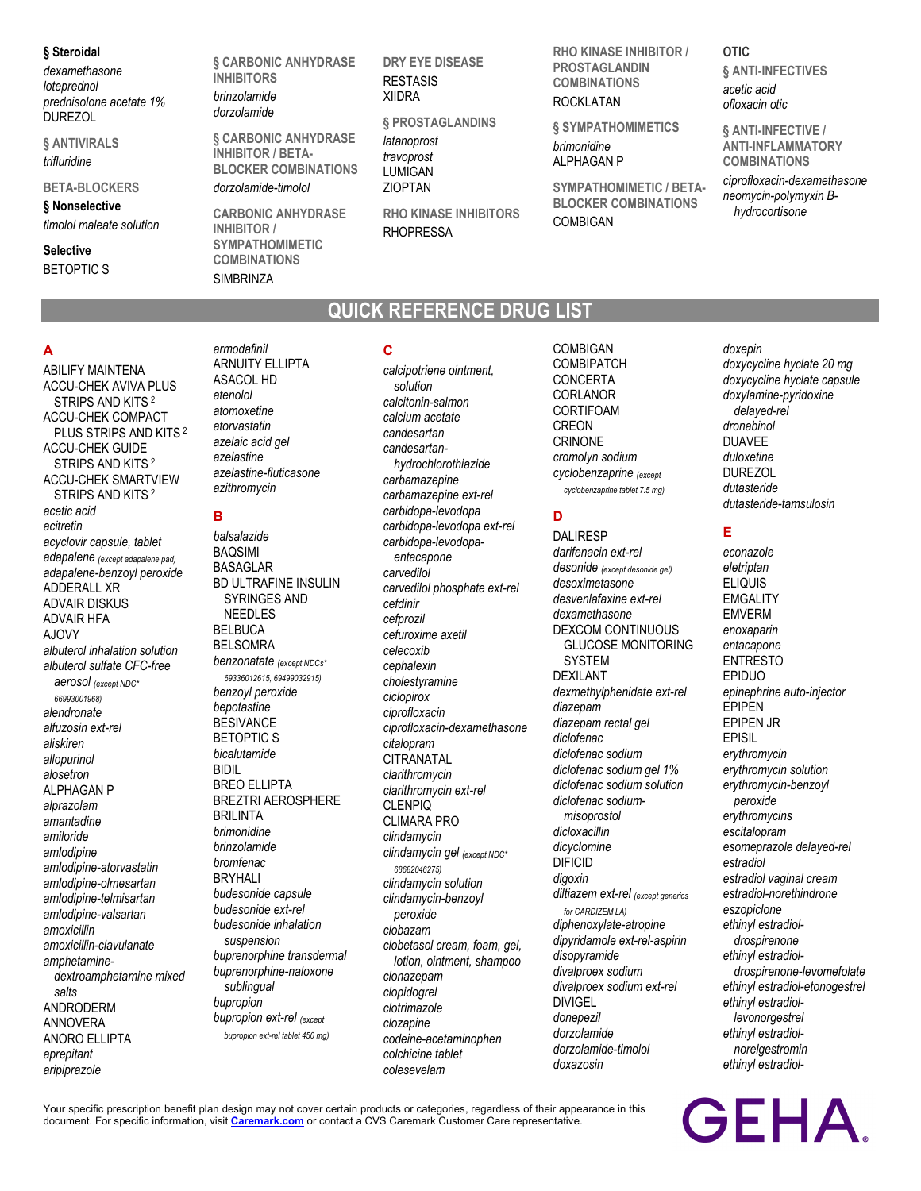### **§ Steroidal**

*dexamethasone loteprednol prednisolone acetate 1%* DUREZOL

**§ ANTIVIRALS** *trifluridine*

## **BETA-BLOCKERS**

**§ Nonselective** *timolol maleate solution*

# **Selective**

BETOPTIC S

**§ CARBONIC ANHYDRASE INHIBITORS** *brinzolamide dorzolamide*

> **§ CARBONIC ANHYDRASE INHIBITOR / BETA-BLOCKER COMBINATIONS**

*dorzolamide-timolol*

**CARBONIC ANHYDRASE INHIBITOR / SYMPATHOMIMETIC COMBINATIONS SIMBRINZA** 

**DRY EYE DISEASE RESTASIS** XIIDRA

**§ PROSTAGLANDINS** *latanoprost travoprost* LUMIGAN ZIOPTAN

**RHO KINASE INHIBITORS RHOPRESSA** 

**QUICK REFERENCE DRUG LIST**

**RHO KINASE INHIBITOR / PROSTAGLANDIN COMBINATIONS** ROCKLATAN

**§ SYMPATHOMIMETICS** *brimonidine*

ALPHAGAN P

**SYMPATHOMIMETIC / BETA-BLOCKER COMBINATIONS** COMBIGAN

**OTIC § ANTI-INFECTIVES** *acetic acid ofloxacin otic*

**§ ANTI-INFECTIVE / ANTI-INFLAMMATORY COMBINATIONS** *ciprofloxacin-dexamethasone neomycin-polymyxin Bhydrocortisone*

## **A**

ABILIFY MAINTENA ACCU-CHEK AVIVA PLUS STRIPS AND KITS <sup>2</sup> ACCU-CHEK COMPACT PLUS STRIPS AND KITS <sup>2</sup> ACCU-CHEK GUIDE STRIPS AND KITS <sup>2</sup> ACCU-CHEK SMARTVIEW STRIPS AND KITS <sup>2</sup> *acetic acid acitretin acyclovir capsule, tablet adapalene (except adapalene pad) adapalene-benzoyl peroxide* ADDERALL XR ADVAIR DISKUS ADVAIR HFA AJOVY *albuterol inhalation solution albuterol sulfate CFC-free aerosol (except NDC\* 66993001968) alendronate alfuzosin ext-rel aliskiren allopurinol alosetron* ALPHAGAN P *alprazolam amantadine amiloride amlodipine amlodipine-atorvastatin amlodipine-olmesartan amlodipine-telmisartan amlodipine-valsartan amoxicillin amoxicillin-clavulanate amphetaminedextroamphetamine mixed salts* ANDRODERM ANNOVERA ANORO ELLIPTA *aprepitant aripiprazole*

*armodafinil* ARNUITY ELLIPTA ASACOL HD *atenolol atomoxetine atorvastatin azelaic acid gel azelastine azelastine-fluticasone azithromycin*

# **B**

*balsalazide* BAQSIMI BASAGLAR BD ULTRAFINE INSULIN SYRINGES AND NEEDLES BELBUCA BELSOMRA *benzonatate (except NDCs\* 69336012615, 69499032915) benzoyl peroxide bepotastine* **BESIVANCE** BETOPTIC S *bicalutamide* BIDIL BREO ELLIPTA BREZTRI AEROSPHERE BRILINTA *brimonidine brinzolamide bromfenac* BRYHALI *budesonide capsule budesonide ext-rel budesonide inhalation suspension buprenorphine transdermal buprenorphine-naloxone sublingual bupropion bupropion ext-rel (except bupropion ext-rel tablet 450 mg)*

# **C**

*calcipotriene ointment, solution calcitonin-salmon calcium acetate candesartan candesartanhydrochlorothiazide carbamazepine carbamazepine ext-rel carbidopa-levodopa carbidopa-levodopa ext-rel carbidopa-levodopaentacapone carvedilol carvedilol phosphate ext-rel cefdinir cefprozil cefuroxime axetil celecoxib cephalexin cholestyramine ciclopirox ciprofloxacin ciprofloxacin-dexamethasone citalopram* **CITRANATAL** *clarithromycin clarithromycin ext-rel* CLENPIQ CLIMARA PRO *clindamycin clindamycin gel (except NDC\* 68682046275) clindamycin solution clindamycin-benzoyl peroxide clobazam clobetasol cream, foam, gel, lotion, ointment, shampoo clonazepam clopidogrel clotrimazole clozapine codeine-acetaminophen colchicine tablet colesevelam*

COMBIGAN **COMBIPATCH** CONCERTA CORLANOR **CORTIFOAM** CREON CRINONE *cromolyn sodium cyclobenzaprine (except cyclobenzaprine tablet 7.5 mg)*

# **D**

DALIRESP *darifenacin ext-rel desonide (except desonide gel) desoximetasone desvenlafaxine ext-rel dexamethasone* DEXCOM CONTINUOUS GLUCOSE MONITORING **SYSTEM** DEXILANT *dexmethylphenidate ext-rel diazepam diazepam rectal gel diclofenac diclofenac sodium diclofenac sodium gel 1% diclofenac sodium solution diclofenac sodiummisoprostol dicloxacillin dicyclomine* DIFICID *digoxin diltiazem ext-rel (except generics for CARDIZEM LA) diphenoxylate-atropine dipyridamole ext-rel-aspirin disopyramide divalproex sodium divalproex sodium ext-rel* DIVIGEL *donepezil dorzolamide dorzolamide-timolol doxazosin*

### *doxepin doxycycline hyclate 20 mg doxycycline hyclate capsule doxylamine-pyridoxine delayed-rel dronabinol* DUAVEE *duloxetine* DUREZOL *dutasteride dutasteride-tamsulosin*

# **E**

*econazole eletriptan* ELIQUIS **EMGALITY** EMVERM *enoxaparin entacapone* ENTRESTO EPIDUO *epinephrine auto-injector* EPIPEN EPIPEN JR EPISIL *erythromycin erythromycin solution erythromycin-benzoyl peroxide erythromycins escitalopram esomeprazole delayed-rel estradiol estradiol vaginal cream estradiol-norethindrone eszopiclone ethinyl estradioldrospirenone ethinyl estradioldrospirenone-levomefolate ethinyl estradiol-etonogestrel ethinyl estradiollevonorgestrel ethinyl estradiolnorelgestromin ethinyl estradiol-*

**GEHA** 

Your specific prescription benefit plan design may not cover certain products or categories, regardless of their appearance in this document. For specific information, visit **[Caremark.com](https://www.caremark.com/)** or contact a CVS Caremark Customer Care representative.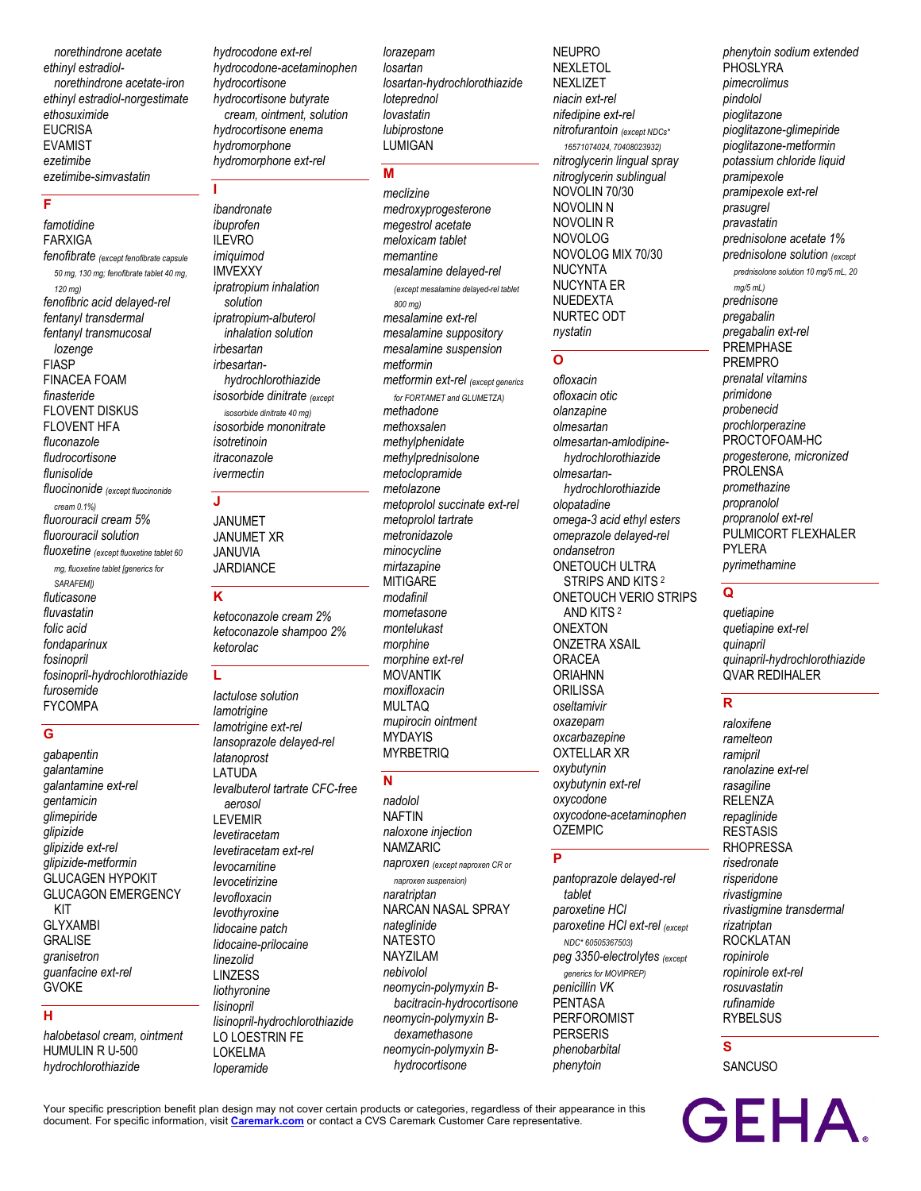*norethindrone acetate ethinyl estradiolnorethindrone acetate-iron ethinyl estradiol-norgestimate ethosuximide* **EUCRISA** EVAMIST *ezetimibe ezetimibe-simvastatin*

# **F**

*famotidine* FARXIGA *fenofibrate (except fenofibrate capsule 50 mg, 130 mg; fenofibrate tablet 40 mg, 120 mg) fenofibric acid delayed-rel fentanyl transdermal fentanyl transmucosal lozenge* FIASP FINACEA FOAM *finasteride* FLOVENT DISKUS FLOVENT HFA *fluconazole fludrocortisone flunisolide fluocinonide (except fluocinonide cream 0.1%) fluorouracil cream 5% fluorouracil solution fluoxetine (except fluoxetine tablet 60 mg, fluoxetine tablet [generics for SARAFEM]) fluticasone fluvastatin folic acid fondaparinux fosinopril fosinopril-hydrochlorothiazide furosemide* FYCOMPA

## **G**

*gabapentin galantamine galantamine ext-rel gentamicin glimepiride glipizide glipizide ext-rel glipizide-metformin* GLUCAGEN HYPOKIT GLUCAGON EMERGENCY KIT GLYXAMBI **GRALISE** *granisetron guanfacine ext-rel* GVOKE

# **H**

*halobetasol cream, ointment* HUMULIN R U-500 *hydrochlorothiazide*

*hydrocodone ext-rel hydrocodone-acetaminophen hydrocortisone hydrocortisone butyrate cream, ointment, solution hydrocortisone enema hydromorphone hydromorphone ext-rel*

**I**

*ibandronate ibuprofen* ILEVRO *imiquimod* IMVEXXY *ipratropium inhalation solution ipratropium-albuterol inhalation solution irbesartan irbesartanhydrochlorothiazide isosorbide dinitrate (except isosorbide dinitrate 40 mg) isosorbide mononitrate isotretinoin itraconazole ivermectin*

# **J**

JANUMET JANUMET XR JANUVIA JARDIANCE

### **K**

*ketoconazole cream 2% ketoconazole shampoo 2% ketorolac*

## **L**

*lactulose solution lamotrigine lamotrigine ext-rel lansoprazole delayed-rel latanoprost* LATUDA *levalbuterol tartrate CFC-free aerosol* LEVEMIR *levetiracetam levetiracetam ext-rel levocarnitine levocetirizine levofloxacin levothyroxine lidocaine patch lidocaine-prilocaine linezolid* LINZESS *liothyronine lisinopril lisinopril-hydrochlorothiazide* LO LOESTRIN FE LOKELMA *loperamide*

*lorazepam losartan losartan-hydrochlorothiazide loteprednol lovastatin lubiprostone* LUMIGAN

# **M**

*meclizine medroxyprogesterone megestrol acetate meloxicam tablet memantine mesalamine delayed-rel (except mesalamine delayed-rel tablet 800 mg) mesalamine ext-rel mesalamine suppository mesalamine suspension metformin metformin ext-rel (except generics for FORTAMET and GLUMETZA) methadone methoxsalen methylphenidate methylprednisolone metoclopramide metolazone metoprolol succinate ext-rel metoprolol tartrate metronidazole minocycline mirtazapine* **MITIGARE** *modafinil mometasone montelukast morphine morphine ext-rel* MOVANTIK *moxifloxacin* MULTAQ *mupirocin ointment* MYDAYIS MYRBETRIQ

### **N**

*nadolol* NAFTIN *naloxone injection* NAMZARIC *naproxen (except naproxen CR or naproxen suspension) naratriptan* NARCAN NASAL SPRAY *nateglinide* NATESTO NAYZILAM *nebivolol neomycin-polymyxin Bbacitracin-hydrocortisone neomycin-polymyxin Bdexamethasone neomycin-polymyxin Bhydrocortisone*

NEUPRO NEXLETOL NEXLIZET *niacin ext-rel nifedipine ext-rel nitrofurantoin (except NDCs\* 16571074024, 70408023932) nitroglycerin lingual spray nitroglycerin sublingual* NOVOLIN 70/30 NOVOLIN N NOVOLIN R NOVOLOG NOVOLOG MIX 70/30 NUCYNTA NUCYNTA ER NUEDEXTA NURTEC ODT *nystatin*

## **O**

*ofloxacin ofloxacin otic olanzapine olmesartan olmesartan-amlodipinehydrochlorothiazide olmesartanhydrochlorothiazide olopatadine omega-3 acid ethyl esters omeprazole delayed-rel ondansetron* ONETOUCH ULTRA STRIPS AND KITS <sup>2</sup> ONETOUCH VERIO STRIPS AND KITS <sup>2</sup> ONEXTON ONZETRA XSAIL ORACEA ORIAHNN **ORILISSA** *oseltamivir oxazepam oxcarbazepine* OXTELLAR XR *oxybutynin oxybutynin ext-rel oxycodone oxycodone-acetaminophen* OZEMPIC

## **P**

*pantoprazole delayed-rel tablet paroxetine HCl paroxetine HCl ext-rel (except NDC\* 60505367503) peg 3350-electrolytes (except generics for MOVIPREP) penicillin VK* PENTASA PERFOROMIST PERSERIS *phenobarbital phenytoin*

PHOSLYRA *pimecrolimus pindolol pioglitazone pioglitazone-glimepiride pioglitazone-metformin potassium chloride liquid pramipexole pramipexole ext-rel prasugrel pravastatin prednisolone acetate 1% prednisolone solution (except prednisolone solution 10 mg/5 mL, 20 mg/5 mL) prednisone pregabalin pregabalin ext-rel* PREMPHASE PREMPRO *prenatal vitamins primidone probenecid prochlorperazine* PROCTOFOAM-HC *progesterone, micronized* PROLENSA *promethazine propranolol propranolol ext-rel* PULMICORT FLEXHALER PYLERA *pyrimethamine*

*phenytoin sodium extended*

# **Q**

*quetiapine quetiapine ext-rel quinapril quinapril-hydrochlorothiazide* QVAR REDIHALER

# **R**

*raloxifene ramelteon ramipril ranolazine ext-rel rasagiline* RELENZA *repaglinide* RESTASIS RHOPRESSA *risedronate risperidone rivastigmine rivastigmine transdermal rizatriptan* ROCKLATAN *ropinirole ropinirole ext-rel rosuvastatin rufinamide* **RYBELSUS** 

**S**

**SANCUSO** 

**GEHA** 

Your specific prescription benefit plan design may not cover certain products or categories, regardless of their appearance in this document. For specific information, visit **[Caremark.com](https://www.caremark.com/)** or contact a CVS Caremark Customer Care representative.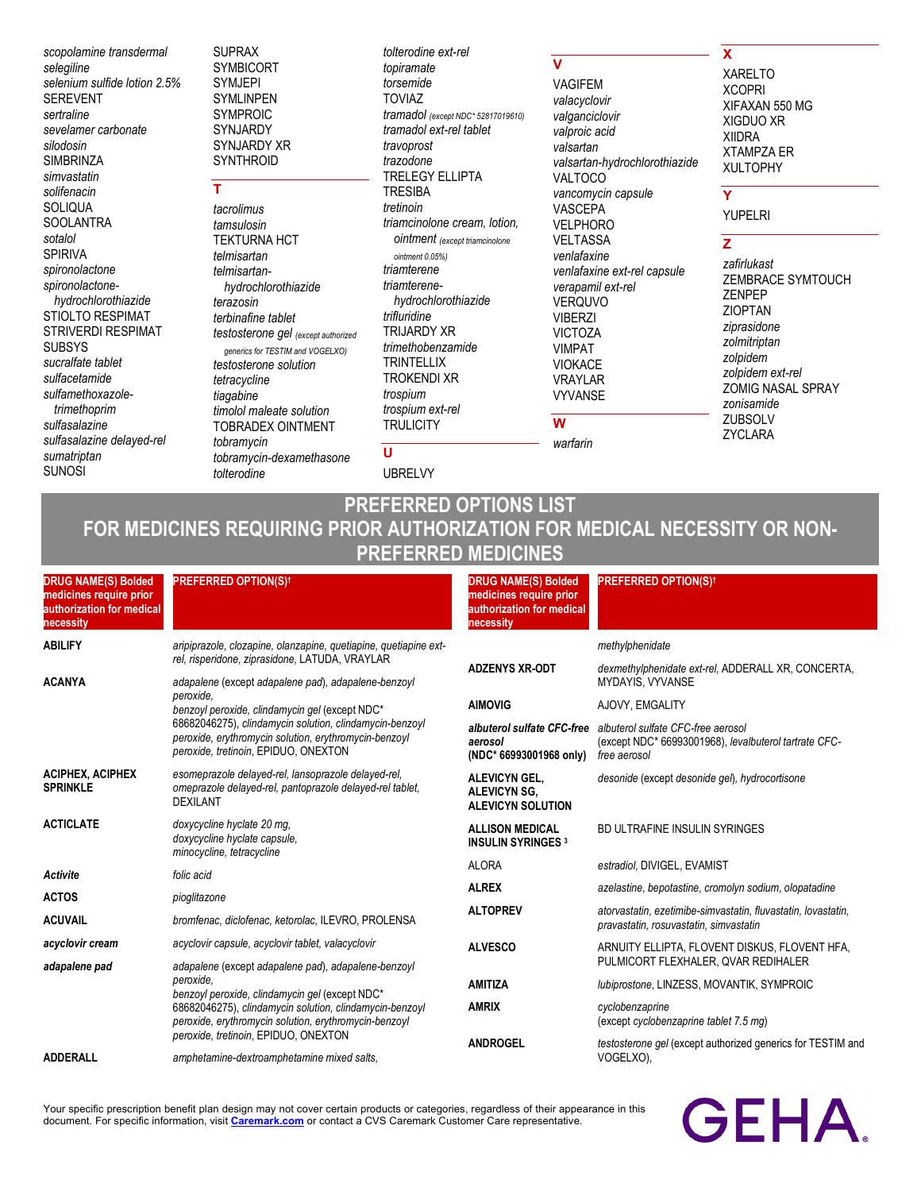*scopolamine transdermal selegiline selenium sulfide lotion 2.5%* SEREVENT *sertraline sevelamer carbonate silodosin* **SIMBRINZA** *simvastatin solifenacin* SOLIQUA **SOOLANTRA** *sotalol* SPIRIVA *spironolactone spironolactonehydrochlorothiazide* STIOLTO RESPIMAT STRIVERDI RESPIMAT SUBSYS *sucralfate tablet sulfacetamide sulfamethoxazoletrimethoprim sulfasalazine sulfasalazine delayed-rel sumatriptan* SUNOSI

SUPRAX SYMBICORT SYMJEPI SYMLINPEN SYMPROIC SYNJARDY SYNJARDY XR **SYNTHROID** 

# **T**

*tacrolimus tamsulosin* TEKTURNA HCT *telmisartan telmisartanhydrochlorothiazide terazosin terbinafine tablet testosterone gel (except authorized generics for TESTIM and VOGELXO) testosterone solution tetracycline tiagabine timolol maleate solution* TOBRADEX OINTMENT *tobramycin tobramycin-dexamethasone tolterodine*

*tolterodine ext-rel topiramate torsemide* TOVIAZ *tramadol (except NDC\* 52817019610) tramadol ext-rel tablet travoprost trazodone* TRELEGY ELLIPTA TRESIBA *tretinoin triamcinolone cream, lotion, ointment (except triamcinolone ointment 0.05%) triamterene triamterenehydrochlorothiazide trifluridine* TRIJARDY XR *trimethobenzamide* **TRINTELLIX** TROKENDI XR *trospium trospium ext-rel* **TRULICITY** 

# **U**

UBRELVY

## **V**

*warfarin*

VAGIFEM *valacyclovir valganciclovir valproic acid valsartan valsartan-hydrochlorothiazide* VALTOCO *vancomycin capsule* VASCEPA VELPHORO VELTASSA *venlafaxine venlafaxine ext-rel capsule verapamil ext-rel* VERQUVO VIBERZI VICTOZA VIMPAT VIOKACE VRAYLAR VYVANSE **W**

## **X**

XARELTO XCOPRI XIFAXAN 550 MG XIGDUO XR XIIDRA XTAMPZA ER XULTOPHY

## **Y**

YUPELRI

# **Z**

*zafirlukast* ZEMBRACE SYMTOUCH ZENPEP ZIOPTAN *ziprasidone zolmitriptan zolpidem zolpidem ext-rel* ZOMIG NASAL SPRAY *zonisamide* ZUBSOLV ZYCLARA

# **PREFERRED OPTIONS LIST FOR MEDICINES REQUIRING PRIOR AUTHORIZATION FOR MEDICAL NECESSITY OR NON-PREFERRED MEDICINES**

| <b>DRUG NAME(S) Bolded</b><br>medicines require prior<br>authorization for medical<br>necessity | <b>PREFERRED OPTION(S)t</b>                                                                                                                              | <b>DRUG NAME(S) Bolded</b><br>medicines require prior<br>authorization for medical<br>necessity | <b>PREFERRED OPTION(S)t</b>                                                                                 |
|-------------------------------------------------------------------------------------------------|----------------------------------------------------------------------------------------------------------------------------------------------------------|-------------------------------------------------------------------------------------------------|-------------------------------------------------------------------------------------------------------------|
| <b>ABILIFY</b>                                                                                  | aripiprazole, clozapine, olanzapine, quetiapine, quetiapine ext-<br>rel, risperidone, ziprasidone, LATUDA, VRAYLAR                                       |                                                                                                 | methylphenidate                                                                                             |
| <b>ACANYA</b>                                                                                   | adapalene (except adapalene pad), adapalene-benzoyl                                                                                                      | <b>ADZENYS XR-ODT</b>                                                                           | dexmethylphenidate ext-rel, ADDERALL XR, CONCERTA,<br><b>MYDAYIS, VYVANSE</b>                               |
|                                                                                                 | peroxide.<br>benzoyl peroxide, clindamycin gel (except NDC*                                                                                              | <b>AIMOVIG</b>                                                                                  | AJOVY, EMGALITY                                                                                             |
|                                                                                                 | 68682046275), clindamycin solution, clindamycin-benzoyl<br>peroxide, erythromycin solution, erythromycin-benzoyl<br>peroxide, tretinoin, EPIDUO, ONEXTON | albuterol sulfate CFC-free<br>aerosol<br>(NDC* 66993001968 only)                                | albuterol sulfate CFC-free aerosol<br>(except NDC* 66993001968), levalbuterol tartrate CFC-<br>free aerosol |
| <b>ACIPHEX, ACIPHEX</b><br><b>SPRINKLE</b>                                                      | esomeprazole delayed-rel, lansoprazole delayed-rel,<br>omeprazole delayed-rel, pantoprazole delayed-rel tablet,<br><b>DEXILANT</b>                       | <b>ALEVICYN GEL,</b><br><b>ALEVICYN SG.</b><br><b>ALEVICYN SOLUTION</b>                         | desonide (except desonide gel), hydrocortisone                                                              |
| <b>ACTICLATE</b>                                                                                | doxycycline hyclate 20 mg,<br>doxycycline hyclate capsule,<br>minocycline, tetracycline                                                                  | <b>ALLISON MEDICAL</b><br><b>INSULIN SYRINGES 3</b>                                             | <b>BD ULTRAFINE INSULIN SYRINGES</b>                                                                        |
| Activite                                                                                        | folic acid                                                                                                                                               | <b>ALORA</b>                                                                                    | estradiol, DIVIGEL, EVAMIST                                                                                 |
| <b>ACTOS</b>                                                                                    | pioglitazone                                                                                                                                             | <b>ALREX</b>                                                                                    | azelastine, bepotastine, cromolyn sodium, olopatadine                                                       |
| <b>ACUVAIL</b>                                                                                  | bromfenac, diclofenac, ketorolac, ILEVRO, PROLENSA                                                                                                       | <b>ALTOPREV</b>                                                                                 | atorvastatin, ezetimibe-simvastatin, fluvastatin, lovastatin,<br>pravastatin, rosuvastatin, simvastatin     |
| acyclovir cream                                                                                 | acyclovir capsule, acyclovir tablet, valacyclovir                                                                                                        | <b>ALVESCO</b>                                                                                  | ARNUITY ELLIPTA, FLOVENT DISKUS, FLOVENT HFA,                                                               |
| adapalene pad                                                                                   | adapalene (except adapalene pad), adapalene-benzoyl                                                                                                      |                                                                                                 | PULMICORT FLEXHALER, QVAR REDIHALER                                                                         |
|                                                                                                 | peroxide.<br>benzoyl peroxide, clindamycin gel (except NDC*                                                                                              | <b>AMITIZA</b>                                                                                  | lubiprostone, LINZESS, MOVANTIK, SYMPROIC                                                                   |
|                                                                                                 | 68682046275), clindamycin solution, clindamycin-benzoyl<br>peroxide, erythromycin solution, erythromycin-benzoyl<br>peroxide, tretinoin, EPIDUO, ONEXTON | <b>AMRIX</b>                                                                                    | cyclobenzaprine<br>(except cyclobenzaprine tablet 7.5 mg)                                                   |
| <b>ADDERALL</b>                                                                                 | amphetamine-dextroamphetamine mixed salts,                                                                                                               | <b>ANDROGEL</b>                                                                                 | testosterone gel (except authorized generics for TESTIM and<br>VOGELXO),                                    |

Your specific prescription benefit plan design may not cover certain products or categories, regardless of their appearance in this document. For specific information, visit **[Caremark.com](https://www.caremark.com/)** or contact a CVS Caremark Customer Care representative.

# **GEHA**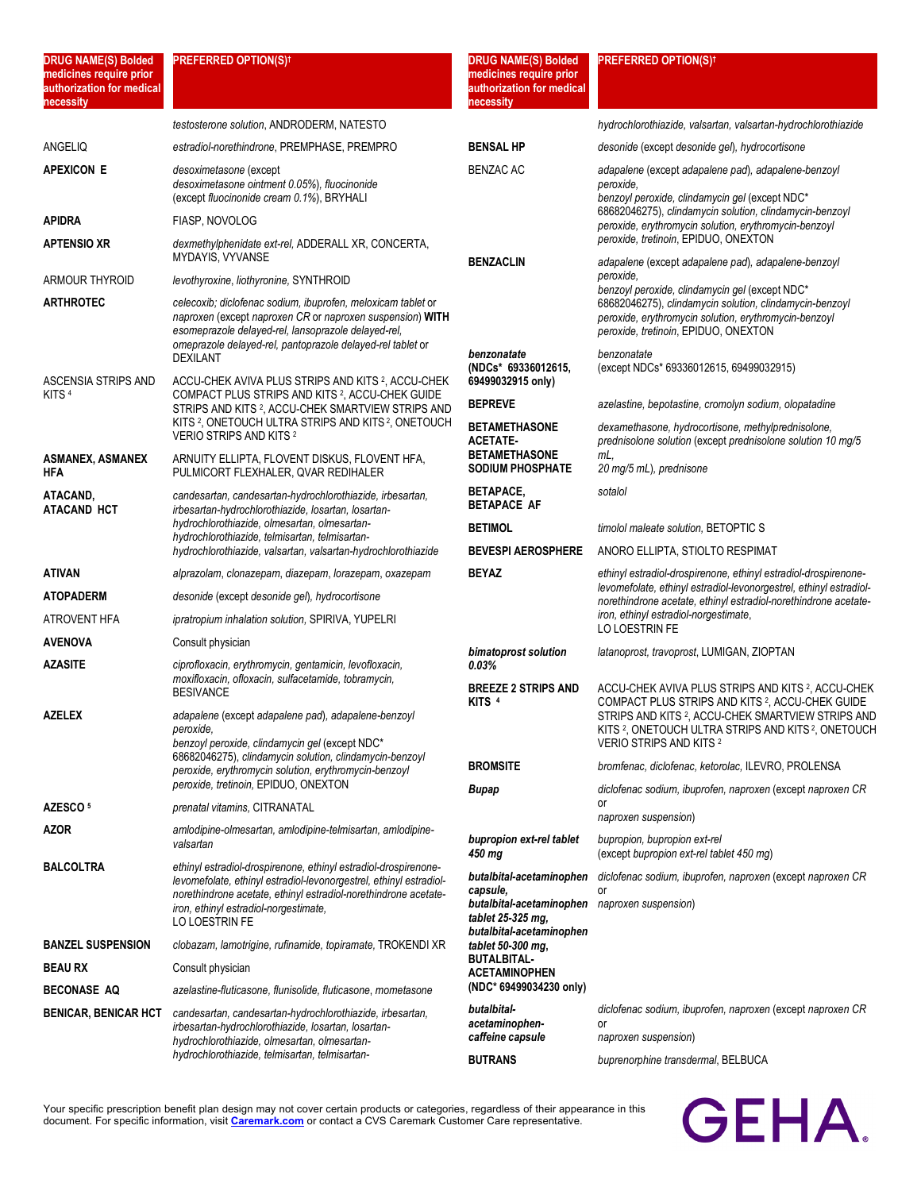| <b>DRUG NAME(S) Bolded</b><br>medicines require prior<br>authorization for medical<br>necessity | <b>PREFERRED OPTION(S)t</b>                                                                                                                                                                                                                                         | <b>DRUG NAME(S) Bolded</b><br>medicines require prior<br>authorization for medical<br>necessity                                        | <b>PREFERRED OPTION(S)<sup>†</sup></b>                                                                                                                                                                                           |
|-------------------------------------------------------------------------------------------------|---------------------------------------------------------------------------------------------------------------------------------------------------------------------------------------------------------------------------------------------------------------------|----------------------------------------------------------------------------------------------------------------------------------------|----------------------------------------------------------------------------------------------------------------------------------------------------------------------------------------------------------------------------------|
|                                                                                                 | testosterone solution, ANDRODERM, NATESTO                                                                                                                                                                                                                           |                                                                                                                                        | hydrochlorothiazide, valsartan, valsartan-hydrochlorothiazide                                                                                                                                                                    |
| ANGELIQ                                                                                         | estradiol-norethindrone, PREMPHASE, PREMPRO                                                                                                                                                                                                                         | <b>BENSAL HP</b>                                                                                                                       | desonide (except desonide gel), hydrocortisone                                                                                                                                                                                   |
| <b>APEXICON E</b>                                                                               | desoximetasone (except<br>desoximetasone ointment 0.05%), fluocinonide<br>(except fluocinonide cream 0.1%), BRYHALI                                                                                                                                                 | <b>BENZAC AC</b>                                                                                                                       | adapalene (except adapalene pad), adapalene-benzoyl<br>peroxide,<br>benzoyl peroxide, clindamycin gel (except NDC*<br>68682046275), clindamycin solution, clindamycin-benzoyl                                                    |
| APIDRA                                                                                          | FIASP, NOVOLOG                                                                                                                                                                                                                                                      |                                                                                                                                        | peroxide, erythromycin solution, erythromycin-benzoyl                                                                                                                                                                            |
| <b>APTENSIO XR</b>                                                                              | dexmethylphenidate ext-rel, ADDERALL XR, CONCERTA,<br>MYDAYIS, VYVANSE                                                                                                                                                                                              | <b>BENZACLIN</b>                                                                                                                       | peroxide, tretinoin, EPIDUO, ONEXTON<br>adapalene (except adapalene pad), adapalene-benzoyl                                                                                                                                      |
| ARMOUR THYROID                                                                                  | levothyroxine, liothyronine, SYNTHROID                                                                                                                                                                                                                              |                                                                                                                                        | peroxide,<br>benzoyl peroxide, clindamycin gel (except NDC*                                                                                                                                                                      |
| <b>ARTHROTEC</b>                                                                                | celecoxib; diclofenac sodium, ibuprofen, meloxicam tablet or<br>naproxen (except naproxen CR or naproxen suspension) WITH<br>esomeprazole delayed-rel, lansoprazole delayed-rel,<br>omeprazole delayed-rel, pantoprazole delayed-rel tablet or                      |                                                                                                                                        | 68682046275), clindamycin solution, clindamycin-benzoyl<br>peroxide, erythromycin solution, erythromycin-benzoyl<br>peroxide, tretinoin, EPIDUO, ONEXTON                                                                         |
| ASCENSIA STRIPS AND                                                                             | <b>DEXILANT</b><br>ACCU-CHEK AVIVA PLUS STRIPS AND KITS 2, ACCU-CHEK                                                                                                                                                                                                | benzonatate<br>(NDCs* 69336012615,<br>69499032915 only)                                                                                | benzonatate<br>(except NDCs* 69336012615, 69499032915)                                                                                                                                                                           |
| KITS <sup>4</sup>                                                                               | COMPACT PLUS STRIPS AND KITS <sup>2</sup> , ACCU-CHEK GUIDE<br>STRIPS AND KITS 2. ACCU-CHEK SMARTVIEW STRIPS AND                                                                                                                                                    | <b>BEPREVE</b>                                                                                                                         | azelastine, bepotastine, cromolyn sodium, olopatadine                                                                                                                                                                            |
|                                                                                                 | KITS <sup>2</sup> , ONETOUCH ULTRA STRIPS AND KITS <sup>2</sup> , ONETOUCH<br><b>VERIO STRIPS AND KITS 2</b>                                                                                                                                                        | <b>BETAMETHASONE</b><br><b>ACETATE-</b>                                                                                                | dexamethasone, hydrocortisone, methylprednisolone,<br>prednisolone solution (except prednisolone solution 10 mg/5                                                                                                                |
| <b>ASMANEX, ASMANEX</b><br>HFA                                                                  | ARNUITY ELLIPTA, FLOVENT DISKUS, FLOVENT HFA,<br>PULMICORT FLEXHALER, QVAR REDIHALER                                                                                                                                                                                | <b>BETAMETHASONE</b><br><b>SODIUM PHOSPHATE</b>                                                                                        | mL.<br>20 mg/5 mL), prednisone                                                                                                                                                                                                   |
| ATACAND,<br><b>ATACAND HCT</b>                                                                  | candesartan, candesartan-hydrochlorothiazide, irbesartan,<br>irbesartan-hydrochlorothiazide, losartan, losartan-                                                                                                                                                    | <b>BETAPACE,</b><br><b>BETAPACE AF</b>                                                                                                 | sotalol                                                                                                                                                                                                                          |
|                                                                                                 | hydrochlorothiazide, olmesartan, olmesartan-<br>hydrochlorothiazide, telmisartan, telmisartan-                                                                                                                                                                      | <b>BETIMOL</b>                                                                                                                         | timolol maleate solution, BETOPTIC S                                                                                                                                                                                             |
|                                                                                                 | hydrochlorothiazide, valsartan, valsartan-hydrochlorothiazide                                                                                                                                                                                                       | <b>BEVESPI AEROSPHERE</b>                                                                                                              | ANORO ELLIPTA, STIOLTO RESPIMAT                                                                                                                                                                                                  |
| ATIVAN                                                                                          | alprazolam, clonazepam, diazepam, lorazepam, oxazepam                                                                                                                                                                                                               | <b>BEYAZ</b>                                                                                                                           | ethinyl estradiol-drospirenone, ethinyl estradiol-drospirenone-<br>levomefolate, ethinyl estradiol-levonorgestrel, ethinyl estradiol-                                                                                            |
| <b>ATOPADERM</b>                                                                                | desonide (except desonide gel), hydrocortisone                                                                                                                                                                                                                      |                                                                                                                                        | norethindrone acetate, ethinyl estradiol-norethindrone acetate-                                                                                                                                                                  |
| ATROVENT HFA                                                                                    | ipratropium inhalation solution, SPIRIVA, YUPELRI                                                                                                                                                                                                                   |                                                                                                                                        | iron, ethinyl estradiol-norgestimate,<br>LO LOESTRIN FE                                                                                                                                                                          |
| <b>AVENOVA</b>                                                                                  | Consult physician                                                                                                                                                                                                                                                   | bimatoprost solution                                                                                                                   | latanoprost, travoprost, LUMIGAN, ZIOPTAN                                                                                                                                                                                        |
| <b>AZASITE</b>                                                                                  | ciprofloxacin, erythromycin, gentamicin, levofloxacin,<br>moxifloxacin, ofloxacin, sulfacetamide, tobramycin,<br><b>BESIVANCE</b>                                                                                                                                   | 0.03%<br><b>BREEZE 2 STRIPS AND</b>                                                                                                    | ACCU-CHEK AVIVA PLUS STRIPS AND KITS 2, ACCU-CHEK                                                                                                                                                                                |
| <b>AZELEX</b>                                                                                   | adapalene (except adapalene pad), adapalene-benzoyl<br>peroxide,<br>benzoyl peroxide, clindamycin gel (except NDC*<br>68682046275), clindamycin solution, clindamycin-benzoyl                                                                                       | KITS <sup>4</sup>                                                                                                                      | COMPACT PLUS STRIPS AND KITS <sup>2</sup> , ACCU-CHEK GUIDE<br>STRIPS AND KITS 2, ACCU-CHEK SMARTVIEW STRIPS AND<br>KITS <sup>2</sup> , ONETOUCH ULTRA STRIPS AND KITS <sup>2</sup> , ONETOUCH<br><b>VERIO STRIPS AND KITS 2</b> |
|                                                                                                 | peroxide, erythromycin solution, erythromycin-benzoyl                                                                                                                                                                                                               | <b>BROMSITE</b>                                                                                                                        | bromfenac, diclofenac, ketorolac, ILEVRO, PROLENSA                                                                                                                                                                               |
|                                                                                                 | peroxide, tretinoin, EPIDUO, ONEXTON                                                                                                                                                                                                                                | Bupap                                                                                                                                  | diclofenac sodium, ibuprofen, naproxen (except naproxen CR<br>or                                                                                                                                                                 |
| AZESCO <sup>5</sup>                                                                             | prenatal vitamins, CITRANATAL                                                                                                                                                                                                                                       |                                                                                                                                        | naproxen suspension)                                                                                                                                                                                                             |
| AZOR                                                                                            | amlodipine-olmesartan, amlodipine-telmisartan, amlodipine-<br>valsartan                                                                                                                                                                                             | bupropion ext-rel tablet<br>450 mg                                                                                                     | bupropion, bupropion ext-rel<br>(except bupropion ext-rel tablet 450 mg)                                                                                                                                                         |
| <b>BALCOLTRA</b>                                                                                | ethinyl estradiol-drospirenone, ethinyl estradiol-drospirenone-<br>levomefolate, ethinyl estradiol-levonorgestrel, ethinyl estradiol-<br>norethindrone acetate, ethinyl estradiol-norethindrone acetate-<br>iron, ethinyl estradiol-norgestimate,<br>LO LOESTRIN FE | butalbital-acetaminophen<br>capsule,<br>butalbital-acetaminophen naproxen suspension)<br>tablet 25-325 mg,<br>butalbital-acetaminophen | diclofenac sodium, ibuprofen, naproxen (except naproxen CR<br>or                                                                                                                                                                 |
| <b>BANZEL SUSPENSION</b>                                                                        | clobazam, lamotrigine, rufinamide, topiramate, TROKENDI XR                                                                                                                                                                                                          | tablet 50-300 mg,<br><b>BUTALBITAL-</b>                                                                                                |                                                                                                                                                                                                                                  |
| <b>BEAU RX</b>                                                                                  | Consult physician                                                                                                                                                                                                                                                   | <b>ACETAMINOPHEN</b>                                                                                                                   |                                                                                                                                                                                                                                  |
| <b>BECONASE AQ</b>                                                                              | azelastine-fluticasone, flunisolide, fluticasone, mometasone                                                                                                                                                                                                        | (NDC* 69499034230 only)                                                                                                                |                                                                                                                                                                                                                                  |
| <b>BENICAR, BENICAR HCT</b>                                                                     | candesartan, candesartan-hydrochlorothiazide, irbesartan,<br>irbesartan-hydrochlorothiazide, losartan, losartan-<br>hydrochlorothiazide, olmesartan, olmesartan-                                                                                                    | butalbital-<br>acetaminophen-<br>caffeine capsule                                                                                      | diclofenac sodium, ibuprofen, naproxen (except naproxen CR<br>or<br>naproxen suspension)                                                                                                                                         |
|                                                                                                 | hydrochlorothiazide, telmisartan, telmisartan-                                                                                                                                                                                                                      | <b>BUTRANS</b>                                                                                                                         | buprenorphine transdermal, BELBUCA                                                                                                                                                                                               |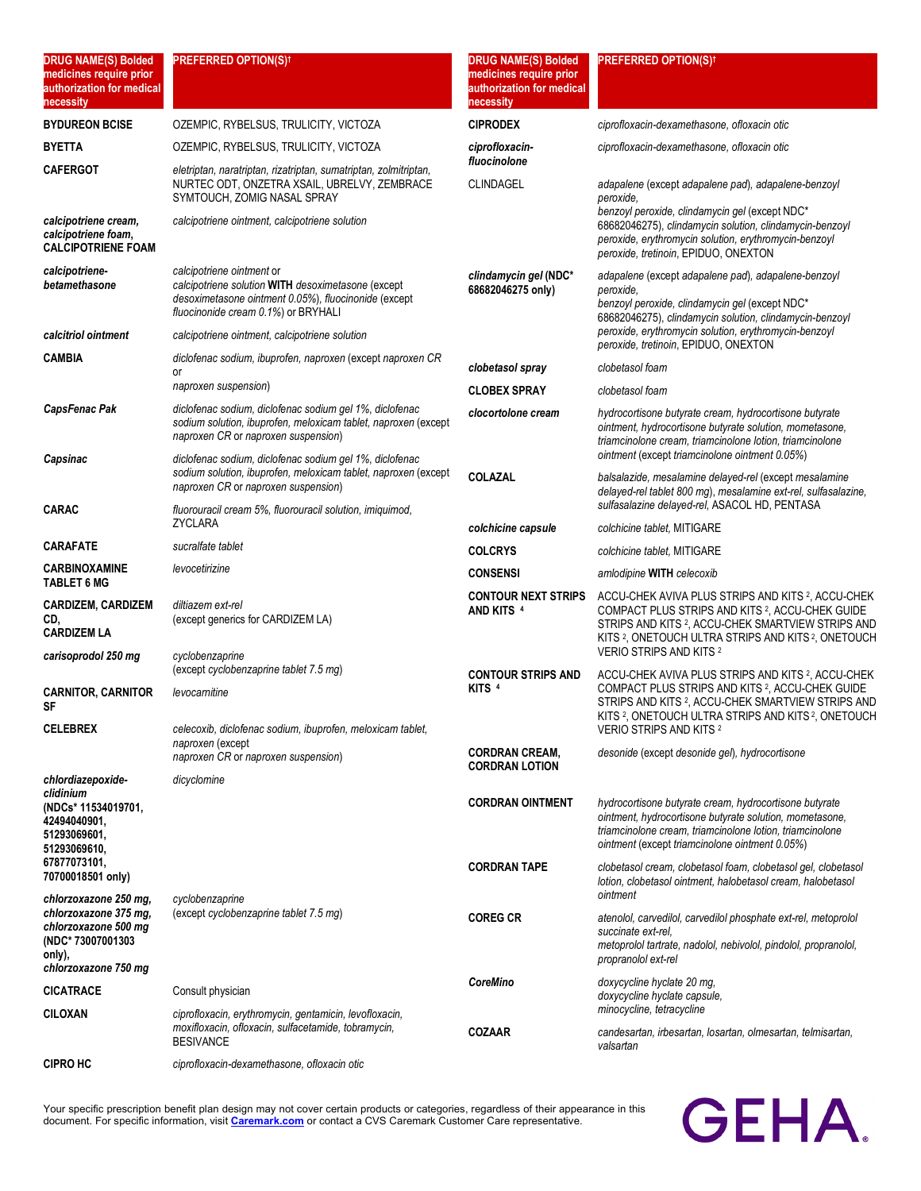| <b>DRUG NAME(S) Bolded</b><br>medicines require prior<br>authorization for medical<br>necessity      | <b>PREFERRED OPTION(S)<sup>†</sup></b>                                                                                                                                                                                       | <b>DRUG NAME(S) Bolded</b><br>medicines require prior<br>authorization for medical<br>necessity | <b>PREFERRED OPTION(S)t</b>                                                                                                                                                                                                                         |
|------------------------------------------------------------------------------------------------------|------------------------------------------------------------------------------------------------------------------------------------------------------------------------------------------------------------------------------|-------------------------------------------------------------------------------------------------|-----------------------------------------------------------------------------------------------------------------------------------------------------------------------------------------------------------------------------------------------------|
| <b>BYDUREON BCISE</b>                                                                                | OZEMPIC, RYBELSUS, TRULICITY, VICTOZA                                                                                                                                                                                        | <b>CIPRODEX</b>                                                                                 | ciprofloxacin-dexamethasone, ofloxacin otic                                                                                                                                                                                                         |
| BYETTA                                                                                               | OZEMPIC, RYBELSUS, TRULICITY, VICTOZA                                                                                                                                                                                        | ciprofloxacin-                                                                                  | ciprofloxacin-dexamethasone, ofloxacin otic                                                                                                                                                                                                         |
| <b>CAFERGOT</b>                                                                                      | eletriptan, naratriptan, rizatriptan, sumatriptan, zolmitriptan,<br>NURTEC ODT, ONZETRA XSAIL, UBRELVY, ZEMBRACE<br>SYMTOUCH, ZOMIG NASAL SPRAY                                                                              | fluocinolone<br><b>CLINDAGEL</b>                                                                | adapalene (except adapalene pad), adapalene-benzoyl<br>peroxide.                                                                                                                                                                                    |
| calcipotriene cream,<br>calcipotriene foam,<br><b>CALCIPOTRIENE FOAM</b>                             | calcipotriene ointment, calcipotriene solution                                                                                                                                                                               |                                                                                                 | benzoyl peroxide, clindamycin gel (except NDC*<br>68682046275), clindamycin solution, clindamycin-benzoyl<br>peroxide, erythromycin solution, erythromycin-benzoyl<br>peroxide, tretinoin, EPIDUO, ONEXTON                                          |
| calcipotriene-<br>betamethasone                                                                      | calcipotriene ointment or<br>calcipotriene solution WITH desoximetasone (except<br>desoximetasone ointment 0.05%), fluocinonide (except<br>fluocinonide cream 0.1%) or BRYHALI                                               | clindamycin gel (NDC*<br>68682046275 only)                                                      | adapalene (except adapalene pad), adapalene-benzoyl<br>peroxide.<br>benzoyl peroxide, clindamycin gel (except NDC*<br>68682046275), clindamycin solution, clindamycin-benzoyl                                                                       |
| calcitriol ointment                                                                                  | calcipotriene ointment, calcipotriene solution                                                                                                                                                                               |                                                                                                 | peroxide, erythromycin solution, erythromycin-benzoyl<br>peroxide, tretinoin, EPIDUO, ONEXTON                                                                                                                                                       |
| CAMBIA                                                                                               | diclofenac sodium, ibuprofen, naproxen (except naproxen CR<br>or                                                                                                                                                             | clobetasol spray                                                                                | clobetasol foam                                                                                                                                                                                                                                     |
|                                                                                                      | naproxen suspension)                                                                                                                                                                                                         | <b>CLOBEX SPRAY</b>                                                                             | clobetasol foam                                                                                                                                                                                                                                     |
| CapsFenac Pak                                                                                        | diclofenac sodium, diclofenac sodium gel 1%, diclofenac<br>sodium solution, ibuprofen, meloxicam tablet, naproxen (except<br>naproxen CR or naproxen suspension)                                                             | clocortolone cream                                                                              | hydrocortisone butyrate cream, hydrocortisone butyrate<br>ointment, hydrocortisone butyrate solution, mometasone,<br>triamcinolone cream, triamcinolone lotion, triamcinolone<br>ointment (except triamcinolone ointment 0.05%)                     |
| Capsinac<br>CARAC                                                                                    | diclofenac sodium, diclofenac sodium gel 1%, diclofenac<br>sodium solution, ibuprofen, meloxicam tablet, naproxen (except<br>naproxen CR or naproxen suspension)<br>fluorouracil cream 5%, fluorouracil solution, imiquimod, | <b>COLAZAL</b>                                                                                  | balsalazide, mesalamine delayed-rel (except mesalamine<br>delayed-rel tablet 800 mg), mesalamine ext-rel, sulfasalazine,<br>sulfasalazine delayed-rel, ASACOL HD, PENTASA                                                                           |
|                                                                                                      | <b>ZYCLARA</b>                                                                                                                                                                                                               | colchicine capsule                                                                              | colchicine tablet, MITIGARE                                                                                                                                                                                                                         |
| CARAFATE                                                                                             | sucralfate tablet                                                                                                                                                                                                            | <b>COLCRYS</b>                                                                                  | colchicine tablet, MITIGARE                                                                                                                                                                                                                         |
| CARBINOXAMINE<br>TABLET 6 MG                                                                         | levocetirizine                                                                                                                                                                                                               | <b>CONSENSI</b>                                                                                 | amlodipine WITH celecoxib                                                                                                                                                                                                                           |
| <b>CARDIZEM, CARDIZEM</b><br>CD,<br><b>CARDIZEM LA</b>                                               | diltiazem ext-rel<br>(except generics for CARDIZEM LA)                                                                                                                                                                       | <b>CONTOUR NEXT STRIPS</b><br>AND KITS <sup>4</sup>                                             | ACCU-CHEK AVIVA PLUS STRIPS AND KITS 2, ACCU-CHEK<br>COMPACT PLUS STRIPS AND KITS <sup>2</sup> , ACCU-CHEK GUIDE<br>STRIPS AND KITS 2, ACCU-CHEK SMARTVIEW STRIPS AND<br>KITS <sup>2</sup> , ONETOUCH ULTRA STRIPS AND KITS <sup>2</sup> , ONETOUCH |
| carisoprodol 250 mg                                                                                  | cyclobenzaprine<br>(except cyclobenzaprine tablet 7.5 mg)                                                                                                                                                                    |                                                                                                 | VERIO STRIPS AND KITS 2                                                                                                                                                                                                                             |
| <b>CARNITOR, CARNITOR</b><br>SF                                                                      | levocarnitine                                                                                                                                                                                                                | <b>CONTOUR STRIPS AND</b><br>KITS <sup>4</sup>                                                  | ACCU-CHEK AVIVA PLUS STRIPS AND KITS <sup>2</sup> , ACCU-CHEK<br>COMPACT PLUS STRIPS AND KITS 2, ACCU-CHEK GUIDE<br>STRIPS AND KITS 2, ACCU-CHEK SMARTVIEW STRIPS AND<br>KITS 2, ONETOUCH ULTRA STRIPS AND KITS 2, ONETOUCH                         |
| <b>CELEBREX</b>                                                                                      | celecoxib, diclofenac sodium, ibuprofen, meloxicam tablet,<br>naproxen (except<br>naproxen CR or naproxen suspension)                                                                                                        | <b>CORDRAN CREAM,</b>                                                                           | VERIO STRIPS AND KITS 2<br>desonide (except desonide gel), hydrocortisone                                                                                                                                                                           |
| chlordiazepoxide-                                                                                    | dicyclomine                                                                                                                                                                                                                  | <b>CORDRAN LOTION</b>                                                                           |                                                                                                                                                                                                                                                     |
| clidinium<br>(NDCs* 11534019701,<br>42494040901.<br>51293069601,<br>51293069610.                     |                                                                                                                                                                                                                              | <b>CORDRAN OINTMENT</b>                                                                         | hydrocortisone butyrate cream, hydrocortisone butyrate<br>ointment, hydrocortisone butyrate solution, mometasone,<br>triamcinolone cream, triamcinolone lotion, triamcinolone<br>ointment (except triamcinolone ointment 0.05%)                     |
| 67877073101,<br>70700018501 only)<br>chlorzoxazone 250 mg,                                           | cyclobenzaprine                                                                                                                                                                                                              | <b>CORDRAN TAPE</b>                                                                             | clobetasol cream, clobetasol foam, clobetasol gel, clobetasol<br>lotion, clobetasol ointment, halobetasol cream, halobetasol<br>ointment                                                                                                            |
| chlorzoxazone 375 mg,<br>chlorzoxazone 500 mg<br>(NDC* 73007001303<br>only),<br>chlorzoxazone 750 mg | (except cyclobenzaprine tablet 7.5 mg)                                                                                                                                                                                       | <b>COREG CR</b>                                                                                 | atenolol, carvedilol, carvedilol phosphate ext-rel, metoprolol<br>succinate ext-rel.<br>metoprolol tartrate, nadolol, nebivolol, pindolol, propranolol,<br>propranolol ext-rel                                                                      |
| CICATRACE                                                                                            | Consult physician                                                                                                                                                                                                            | <b>CoreMino</b>                                                                                 | doxycycline hyclate 20 mg,<br>doxycycline hyclate capsule,                                                                                                                                                                                          |
| CILOXAN                                                                                              | ciprofloxacin, erythromycin, gentamicin, levofloxacin,<br>moxifloxacin, ofloxacin, sulfacetamide, tobramycin,                                                                                                                | <b>COZAAR</b>                                                                                   | minocycline, tetracycline<br>candesartan, irbesartan, losartan, olmesartan, telmisartan,                                                                                                                                                            |
| <b>CIPRO HC</b>                                                                                      | <b>BESIVANCE</b><br>ciprofloxacin-dexamethasone, ofloxacin otic                                                                                                                                                              |                                                                                                 | valsartan                                                                                                                                                                                                                                           |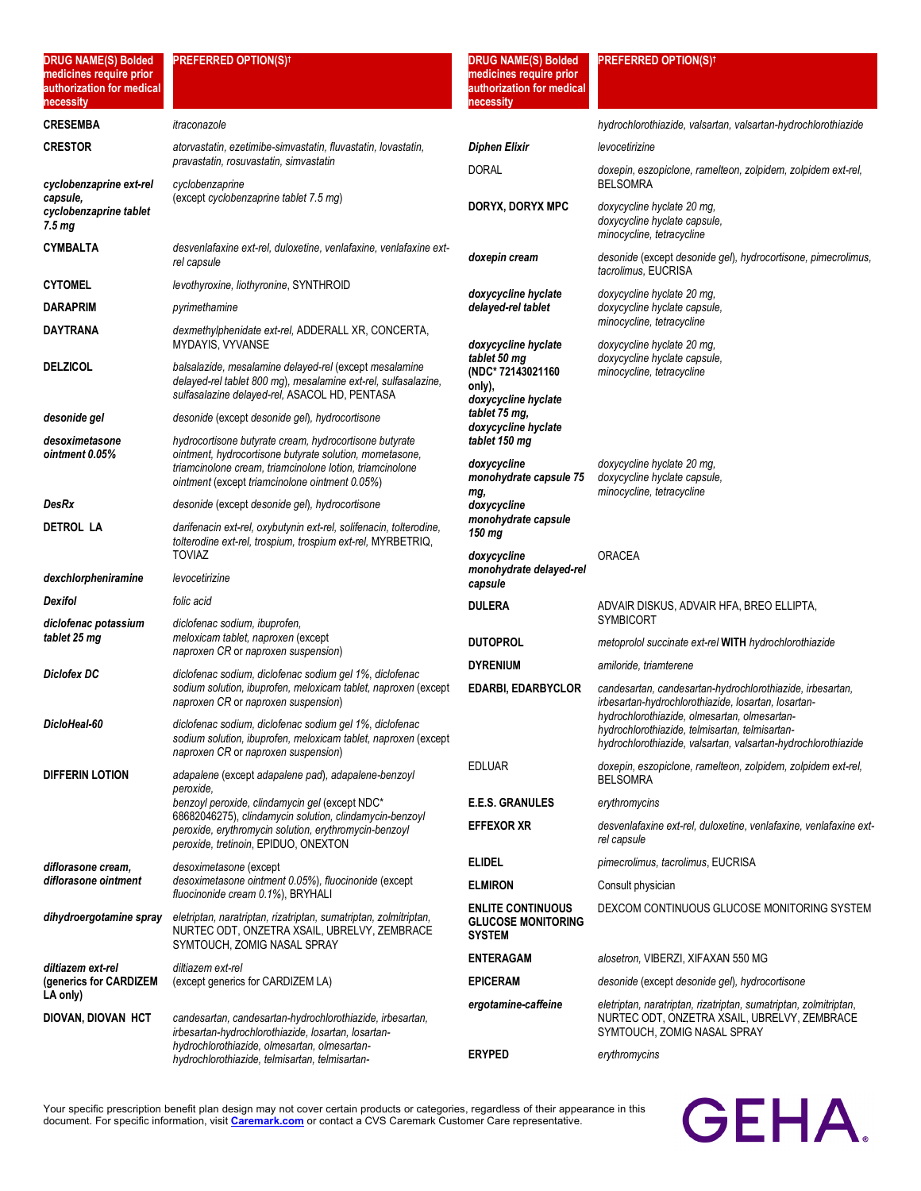| medicines require prior<br>authorization for medical<br>necessity |                                                                                                                                                                           | medicines require prior<br>authorization for medical<br>necessity      |                                                                                                                                                                 |
|-------------------------------------------------------------------|---------------------------------------------------------------------------------------------------------------------------------------------------------------------------|------------------------------------------------------------------------|-----------------------------------------------------------------------------------------------------------------------------------------------------------------|
| <b>CRESEMBA</b>                                                   | itraconazole                                                                                                                                                              |                                                                        | hydrochlorothiazide, valsartan, valsartan-hydrochlorothiazide                                                                                                   |
| <b>CRESTOR</b>                                                    | atorvastatin, ezetimibe-simvastatin, fluvastatin, lovastatin,                                                                                                             | <b>Diphen Elixir</b>                                                   | levocetirizine                                                                                                                                                  |
| cyclobenzaprine ext-rel                                           | pravastatin, rosuvastatin, simvastatin<br>cyclobenzaprine                                                                                                                 | <b>DORAL</b>                                                           | doxepin, eszopiclone, ramelteon, zolpidem, zolpidem ext-rel,<br><b>BELSOMRA</b>                                                                                 |
| capsule,<br>cyclobenzaprine tablet<br>7.5 mg                      | (except cyclobenzaprine tablet 7.5 mg)                                                                                                                                    | DORYX, DORYX MPC                                                       | doxycycline hyclate 20 mg,<br>doxycycline hyclate capsule,<br>minocycline, tetracycline                                                                         |
| <b>CYMBALTA</b>                                                   | desvenlafaxine ext-rel, duloxetine, venlafaxine, venlafaxine ext-<br>rel capsule                                                                                          | doxepin cream                                                          | desonide (except desonide gel), hydrocortisone, pimecrolimus,<br>tacrolimus, EUCRISA                                                                            |
| <b>CYTOMEL</b>                                                    | levothyroxine, liothyronine, SYNTHROID                                                                                                                                    | doxycycline hyclate                                                    | doxycycline hyclate 20 mg,                                                                                                                                      |
| <b>DARAPRIM</b>                                                   | pyrimethamine                                                                                                                                                             | delayed-rel tablet                                                     | doxycycline hyclate capsule,                                                                                                                                    |
| <b>DAYTRANA</b>                                                   | dexmethylphenidate ext-rel, ADDERALL XR, CONCERTA,<br>MYDAYIS, VYVANSE                                                                                                    | doxycycline hyclate                                                    | minocycline, tetracycline<br>doxycycline hyclate 20 mg,                                                                                                         |
| <b>DELZICOL</b>                                                   | balsalazide, mesalamine delayed-rel (except mesalamine<br>delayed-rel tablet 800 mg), mesalamine ext-rel, sulfasalazine,<br>sulfasalazine delayed-rel, ASACOL HD, PENTASA | tablet 50 mg<br>(NDC* 72143021160<br>only),<br>doxycycline hyclate     | doxycycline hyclate capsule,<br>minocycline, tetracycline                                                                                                       |
| desonide gel                                                      | desonide (except desonide gel), hydrocortisone                                                                                                                            | tablet 75 mg,<br>doxycycline hyclate                                   |                                                                                                                                                                 |
| desoximetasone                                                    | hydrocortisone butyrate cream, hydrocortisone butyrate                                                                                                                    | tablet 150 mg                                                          |                                                                                                                                                                 |
| ointment 0.05%                                                    | ointment, hydrocortisone butyrate solution, mometasone,<br>triamcinolone cream, triamcinolone lotion, triamcinolone<br>ointment (except triamcinolone ointment 0.05%)     | doxycycline<br>monohydrate capsule 75                                  | doxycycline hyclate 20 mg,<br>doxycycline hyclate capsule,                                                                                                      |
| <b>DesRx</b>                                                      | desonide (except desonide gel), hydrocortisone                                                                                                                            | mg,<br>doxycycline                                                     | minocycline, tetracycline                                                                                                                                       |
| <b>DETROL LA</b>                                                  | darifenacin ext-rel, oxybutynin ext-rel, solifenacin, tolterodine,<br>tolterodine ext-rel, trospium, trospium ext-rel, MYRBETRIQ,<br><b>TOVIAZ</b>                        | monohydrate capsule<br>150 mg<br>doxycycline                           | <b>ORACEA</b>                                                                                                                                                   |
| dexchlorpheniramine                                               | levocetirizine                                                                                                                                                            | monohydrate delayed-rel<br>capsule                                     |                                                                                                                                                                 |
| Dexifol                                                           | folic acid                                                                                                                                                                | <b>DULERA</b>                                                          | ADVAIR DISKUS, ADVAIR HFA, BREO ELLIPTA,                                                                                                                        |
| diclofenac potassium                                              | diclofenac sodium, ibuprofen,                                                                                                                                             |                                                                        | <b>SYMBICORT</b>                                                                                                                                                |
| tablet 25 mg                                                      | meloxicam tablet, naproxen (except<br>naproxen CR or naproxen suspension)                                                                                                 | <b>DUTOPROL</b>                                                        | metoprolol succinate ext-rel WITH hydrochlorothiazide                                                                                                           |
| <b>Diclofex DC</b>                                                | diclofenac sodium, diclofenac sodium gel 1%, diclofenac                                                                                                                   | <b>DYRENIUM</b>                                                        | amiloride, triamterene                                                                                                                                          |
|                                                                   | sodium solution, ibuprofen, meloxicam tablet, naproxen (except<br>naproxen CR or naproxen suspension)                                                                     | <b>EDARBI, EDARBYCLOR</b>                                              | candesartan, candesartan-hydrochlorothiazide, irbesartan,<br>irbesartan-hydrochlorothiazide, losartan, losartan-                                                |
| DicloHeal-60                                                      | diclofenac sodium, diclofenac sodium gel 1%, diclofenac<br>sodium solution, ibuprofen, meloxicam tablet, naproxen (except<br>naproxen CR or naproxen suspension)          |                                                                        | hydrochlorothiazide, olmesartan, olmesartan-<br>hydrochlorothiazide, telmisartan, telmisartan-<br>hydrochlorothiazide, valsartan, valsartan-hydrochlorothiazide |
| <b>DIFFERIN LOTION</b>                                            | adapalene (except adapalene pad), adapalene-benzoyl<br>peroxide,                                                                                                          | <b>EDLUAR</b>                                                          | doxepin, eszopiclone, ramelteon, zolpidem, zolpidem ext-rel,<br><b>BELSOMRA</b>                                                                                 |
|                                                                   | benzoyl peroxide, clindamycin gel (except NDC*<br>68682046275), clindamycin solution, clindamycin-benzoyl                                                                 | <b>E.E.S. GRANULES</b>                                                 | erythromycins                                                                                                                                                   |
|                                                                   | peroxide, erythromycin solution, erythromycin-benzoyl<br>peroxide, tretinoin, EPIDUO, ONEXTON                                                                             | <b>EFFEXOR XR</b>                                                      | desvenlafaxine ext-rel, duloxetine, venlafaxine, venlafaxine ext-<br>rel capsule                                                                                |
| diflorasone cream,                                                | desoximetasone (except                                                                                                                                                    | <b>ELIDEL</b>                                                          | pimecrolimus, tacrolimus, EUCRISA                                                                                                                               |
| diflorasone ointment                                              | desoximetasone ointment 0.05%), fluocinonide (except<br>fluocinonide cream 0.1%), BRYHALI                                                                                 | <b>ELMIRON</b>                                                         | Consult physician                                                                                                                                               |
| dihydroergotamine spray                                           | eletriptan, naratriptan, rizatriptan, sumatriptan, zolmitriptan,<br>NURTEC ODT, ONZETRA XSAIL, UBRELVY, ZEMBRACE                                                          | <b>ENLITE CONTINUOUS</b><br><b>GLUCOSE MONITORING</b><br><b>SYSTEM</b> | DEXCOM CONTINUOUS GLUCOSE MONITORING SYSTEM                                                                                                                     |
|                                                                   | SYMTOUCH, ZOMIG NASAL SPRAY                                                                                                                                               | <b>ENTERAGAM</b>                                                       | alosetron, VIBERZI, XIFAXAN 550 MG                                                                                                                              |
| diltiazem ext-rel<br>(generics for CARDIZEM<br>LA only)           | diltiazem ext-rel<br>(except generics for CARDIZEM LA)                                                                                                                    | <b>EPICERAM</b>                                                        | desonide (except desonide gel), hydrocortisone                                                                                                                  |
| DIOVAN, DIOVAN HCT                                                | candesartan, candesartan-hydrochlorothiazide, irbesartan,<br>irbesartan-hydrochlorothiazide, losartan, losartan-<br>hydrochlorothiazide, olmesartan, olmesartan-          | ergotamine-caffeine                                                    | eletriptan, naratriptan, rizatriptan, sumatriptan, zolmitriptan,<br>NURTEC ODT, ONZETRA XSAIL, UBRELVY, ZEMBRACE<br>SYMTOUCH, ZOMIG NASAL SPRAY                 |
|                                                                   | hydrochlorothiazide, telmisartan, telmisartan-                                                                                                                            | <b>ERYPED</b>                                                          | erythromycins                                                                                                                                                   |

**DRUG NAME(S) Bolded PREFERRED OPTION(S)†**

Your specific prescription benefit plan design may not cover certain products or categories, regardless of their appearance in this document. For specific information, visit **[Caremark.com](https://www.caremark.com/)** or contact a CVS Caremark Customer Care representative.

**DRUG NAME(S) Bolded PREFERRED OPTION(S)†**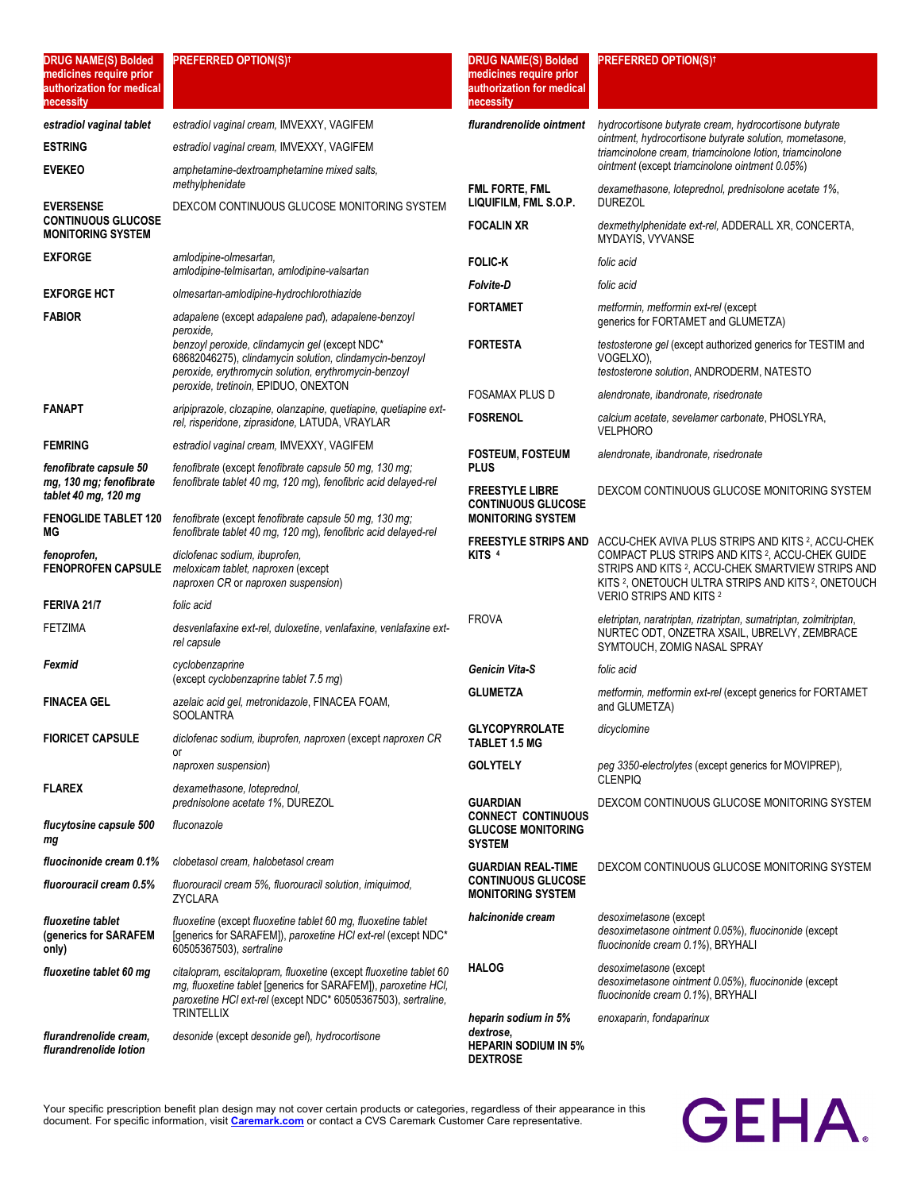| <b>DRUG NAME(S) Bolded</b><br>medicines require prior<br>authorization for medical<br>necessity | <b>PREFERRED OPTION(S)<sup>†</sup></b>                                                                                                                                                                                    | <b>DRUG NAME(S) Bolded</b><br>medicines require prior<br>authorization for medical<br>necessity | <b>PREFERRED OPTION(S)<sup>†</sup></b>                                                                                                                                                                               |
|-------------------------------------------------------------------------------------------------|---------------------------------------------------------------------------------------------------------------------------------------------------------------------------------------------------------------------------|-------------------------------------------------------------------------------------------------|----------------------------------------------------------------------------------------------------------------------------------------------------------------------------------------------------------------------|
| estradiol vaginal tablet                                                                        | estradiol vaginal cream, IMVEXXY, VAGIFEM                                                                                                                                                                                 | flurandrenolide ointment                                                                        | hydrocortisone butyrate cream, hydrocortisone butyrate                                                                                                                                                               |
| <b>ESTRING</b>                                                                                  | estradiol vaginal cream, IMVEXXY, VAGIFEM                                                                                                                                                                                 |                                                                                                 | ointment, hydrocortisone butyrate solution, mometasone,<br>triamcinolone cream, triamcinolone lotion, triamcinolone                                                                                                  |
| <b>EVEKEO</b>                                                                                   | amphetamine-dextroamphetamine mixed salts,                                                                                                                                                                                |                                                                                                 | ointment (except triamcinolone ointment 0.05%)                                                                                                                                                                       |
| <b>EVERSENSE</b>                                                                                | methylphenidate<br>DEXCOM CONTINUOUS GLUCOSE MONITORING SYSTEM                                                                                                                                                            | FML FORTE, FML<br>LIQUIFILM, FML S.O.P.                                                         | dexamethasone, loteprednol, prednisolone acetate 1%,<br><b>DUREZOL</b>                                                                                                                                               |
| <b>CONTINUOUS GLUCOSE</b><br><b>MONITORING SYSTEM</b>                                           |                                                                                                                                                                                                                           | <b>FOCALIN XR</b>                                                                               | dexmethylphenidate ext-rel, ADDERALL XR, CONCERTA,<br>MYDAYIS, VYVANSE                                                                                                                                               |
| <b>EXFORGE</b>                                                                                  | amlodipine-olmesartan,<br>amlodipine-telmisartan, amlodipine-valsartan                                                                                                                                                    | <b>FOLIC-K</b>                                                                                  | folic acid                                                                                                                                                                                                           |
| <b>EXFORGE HCT</b>                                                                              | olmesartan-amlodipine-hydrochlorothiazide                                                                                                                                                                                 | <b>Folvite-D</b>                                                                                | folic acid                                                                                                                                                                                                           |
| <b>FABIOR</b>                                                                                   | adapalene (except adapalene pad), adapalene-benzoyl                                                                                                                                                                       | <b>FORTAMET</b>                                                                                 | metformin, metformin ext-rel (except<br>generics for FORTAMET and GLUMETZA)                                                                                                                                          |
|                                                                                                 | peroxide.<br>benzoyl peroxide, clindamycin gel (except NDC*<br>68682046275), clindamycin solution, clindamycin-benzoyl<br>peroxide, erythromycin solution, erythromycin-benzoyl<br>peroxide, tretinoin, EPIDUO, ONEXTON   | <b>FORTESTA</b>                                                                                 | testosterone gel (except authorized generics for TESTIM and<br>VOGELXO),<br>testosterone solution, ANDRODERM, NATESTO                                                                                                |
|                                                                                                 |                                                                                                                                                                                                                           | <b>FOSAMAX PLUS D</b>                                                                           | alendronate, ibandronate, risedronate                                                                                                                                                                                |
| <b>FANAPT</b>                                                                                   | aripiprazole, clozapine, olanzapine, quetiapine, quetiapine ext-<br>rel, risperidone, ziprasidone, LATUDA, VRAYLAR                                                                                                        | <b>FOSRENOL</b>                                                                                 | calcium acetate, sevelamer carbonate, PHOSLYRA,<br><b>VELPHORO</b>                                                                                                                                                   |
| <b>FEMRING</b>                                                                                  | estradiol vaginal cream, IMVEXXY, VAGIFEM                                                                                                                                                                                 | <b>FOSTEUM, FOSTEUM</b>                                                                         | alendronate, ibandronate, risedronate                                                                                                                                                                                |
| fenofibrate capsule 50<br>mg, 130 mg; fenofibrate<br>tablet 40 mg, 120 mg                       | fenofibrate (except fenofibrate capsule 50 mg, 130 mg;<br>fenofibrate tablet 40 mg, 120 mg), fenofibric acid delayed-rel                                                                                                  | <b>PLUS</b><br><b>FREESTYLE LIBRE</b><br><b>CONTINUOUS GLUCOSE</b>                              | DEXCOM CONTINUOUS GLUCOSE MONITORING SYSTEM                                                                                                                                                                          |
| <b>FENOGLIDE TABLET 120</b><br>ΜG                                                               | fenofibrate (except fenofibrate capsule 50 mg, 130 mg;<br>fenofibrate tablet 40 mg, 120 mg), fenofibric acid delayed-rel                                                                                                  | <b>MONITORING SYSTEM</b><br><b>FREESTYLE STRIPS AND</b>                                         | ACCU-CHEK AVIVA PLUS STRIPS AND KITS 2, ACCU-CHEK                                                                                                                                                                    |
| fenoprofen,<br><b>FENOPROFEN CAPSULE</b>                                                        | diclofenac sodium, ibuprofen,<br>meloxicam tablet, naproxen (except<br>naproxen CR or naproxen suspension)                                                                                                                | KITS <sup>4</sup>                                                                               | COMPACT PLUS STRIPS AND KITS 2, ACCU-CHEK GUIDE<br>STRIPS AND KITS 2, ACCU-CHEK SMARTVIEW STRIPS AND<br>KITS <sup>2</sup> , ONETOUCH ULTRA STRIPS AND KITS <sup>2</sup> , ONETOUCH<br><b>VERIO STRIPS AND KITS 2</b> |
| FERIVA 21/7                                                                                     | folic acid                                                                                                                                                                                                                | <b>FROVA</b>                                                                                    | eletriptan, naratriptan, rizatriptan, sumatriptan, zolmitriptan,                                                                                                                                                     |
| <b>FETZIMA</b>                                                                                  | desvenlafaxine ext-rel, duloxetine, venlafaxine, venlafaxine ext-<br>rel capsule                                                                                                                                          |                                                                                                 | NURTEC ODT, ONZETRA XSAIL, UBRELVY, ZEMBRACE<br>SYMTOUCH, ZOMIG NASAL SPRAY                                                                                                                                          |
| Fexmid                                                                                          | cyclobenzaprine<br>(except cyclobenzaprine tablet 7.5 mq)                                                                                                                                                                 | Genicin Vita-S                                                                                  | folic acid                                                                                                                                                                                                           |
| <b>FINACEA GEL</b>                                                                              | azelaic acid gel, metronidazole, FINACEA FOAM,<br><b>SOOLANTRA</b>                                                                                                                                                        | <b>GLUMETZA</b>                                                                                 | metformin, metformin ext-rel (except generics for FORTAMET<br>and GLUMETZA)                                                                                                                                          |
| <b>FIORICET CAPSULE</b>                                                                         | diclofenac sodium, ibuprofen, naproxen (except naproxen CR                                                                                                                                                                | <b>GLYCOPYRROLATE</b><br><b>TABLET 1.5 MG</b>                                                   | dicyclomine                                                                                                                                                                                                          |
|                                                                                                 | or<br>naproxen suspension)                                                                                                                                                                                                | <b>GOLYTELY</b>                                                                                 | peg 3350-electrolytes (except generics for MOVIPREP),                                                                                                                                                                |
| <b>FLAREX</b>                                                                                   | dexamethasone, loteprednol,<br>prednisolone acetate 1%, DUREZOL                                                                                                                                                           | <b>GUARDIAN</b>                                                                                 | <b>CLENPIQ</b><br>DEXCOM CONTINUOUS GLUCOSE MONITORING SYSTEM                                                                                                                                                        |
| <i>flucytosine capsule 500</i><br>mg                                                            | fluconazole                                                                                                                                                                                                               | <b>CONNECT CONTINUOUS</b><br><b>GLUCOSE MONITORING</b><br><b>SYSTEM</b>                         |                                                                                                                                                                                                                      |
| fluocinonide cream 0.1%                                                                         | clobetasol cream, halobetasol cream                                                                                                                                                                                       | <b>GUARDIAN REAL-TIME</b>                                                                       | DEXCOM CONTINUOUS GLUCOSE MONITORING SYSTEM                                                                                                                                                                          |
| fluorouracil cream 0.5%                                                                         | fluorouracil cream 5%, fluorouracil solution, imiquimod,<br><b>ZYCLARA</b>                                                                                                                                                | <b>CONTINUOUS GLUCOSE</b><br><b>MONITORING SYSTEM</b>                                           |                                                                                                                                                                                                                      |
| fluoxetine tablet<br>(generics for SARAFEM<br>only)                                             | fluoxetine (except fluoxetine tablet 60 mg, fluoxetine tablet<br>[generics for SARAFEM]), paroxetine HCl ext-rel (except NDC*<br>60505367503), sertraline                                                                 | halcinonide cream                                                                               | desoximetasone (except<br>desoximetasone ointment 0.05%), fluocinonide (except<br>fluocinonide cream 0.1%), BRYHALI                                                                                                  |
| fluoxetine tablet 60 mg                                                                         | citalopram, escitalopram, fluoxetine (except fluoxetine tablet 60<br>mg, fluoxetine tablet [generics for SARAFEM]), paroxetine HCI,<br>paroxetine HCI ext-rel (except NDC* 60505367503), sertraline,<br><b>TRINTELLIX</b> | <b>HALOG</b>                                                                                    | desoximetasone (except<br>desoximetasone ointment 0.05%), fluocinonide (except<br>fluocinonide cream 0.1%), BRYHALI                                                                                                  |
| flurandrenolide cream,<br>flurandrenolide lotion                                                | desonide (except desonide gel), hydrocortisone                                                                                                                                                                            | heparin sodium in 5%<br>dextrose,<br><b>HEPARIN SODIUM IN 5%</b><br><b>DEXTROSE</b>             | enoxaparin, fondaparinux                                                                                                                                                                                             |

# **GEHA**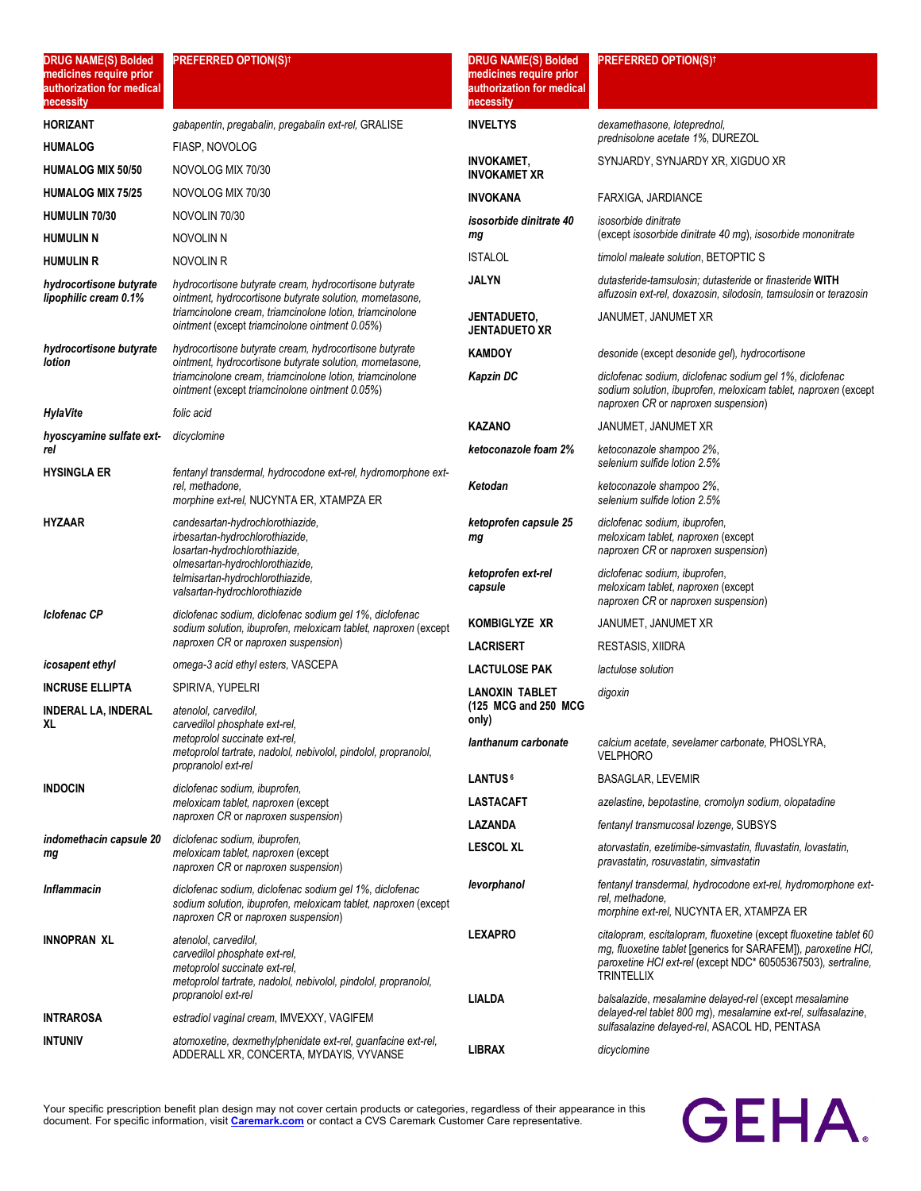| <b>DRUG NAME(S) Bolded</b><br>medicines require prior<br>authorization for medical<br>necessity | <b>PREFERRED OPTION(S)<sup>†</sup></b>                                                                                                                                            | <b>DRUG NAME(S) Bolded</b><br>medicines require prior<br>authorization for medical<br>necessity | <b>PREFERRED OPTION(S)<sup>†</sup></b>                                                                                                                                                                             |
|-------------------------------------------------------------------------------------------------|-----------------------------------------------------------------------------------------------------------------------------------------------------------------------------------|-------------------------------------------------------------------------------------------------|--------------------------------------------------------------------------------------------------------------------------------------------------------------------------------------------------------------------|
| <b>HORIZANT</b>                                                                                 | gabapentin, pregabalin, pregabalin ext-rel, GRALISE                                                                                                                               | <b>INVELTYS</b>                                                                                 | dexamethasone, loteprednol,                                                                                                                                                                                        |
| <b>HUMALOG</b>                                                                                  | FIASP, NOVOLOG                                                                                                                                                                    |                                                                                                 | prednisolone acetate 1%, DUREZOL                                                                                                                                                                                   |
| <b>HUMALOG MIX 50/50</b>                                                                        | NOVOLOG MIX 70/30                                                                                                                                                                 | <b>INVOKAMET,</b><br><b>INVOKAMET XR</b>                                                        | SYNJARDY, SYNJARDY XR, XIGDUO XR                                                                                                                                                                                   |
| <b>HUMALOG MIX 75/25</b>                                                                        | NOVOLOG MIX 70/30                                                                                                                                                                 | <b>INVOKANA</b>                                                                                 | FARXIGA, JARDIANCE                                                                                                                                                                                                 |
| <b>HUMULIN 70/30</b>                                                                            | NOVOLIN 70/30                                                                                                                                                                     | isosorbide dinitrate 40                                                                         | <i>isosorbide dinitrate</i>                                                                                                                                                                                        |
| <b>HUMULIN N</b>                                                                                | NOVOLIN N                                                                                                                                                                         | mg                                                                                              | (except isosorbide dinitrate 40 mg), isosorbide mononitrate                                                                                                                                                        |
| <b>HUMULIN R</b>                                                                                | NOVOLIN R                                                                                                                                                                         | <b>ISTALOL</b>                                                                                  | timolol maleate solution, BETOPTIC S                                                                                                                                                                               |
| hydrocortisone butyrate<br>lipophilic cream 0.1%                                                | hydrocortisone butyrate cream, hydrocortisone butyrate<br>ointment, hydrocortisone butyrate solution, mometasone,                                                                 | JALYN                                                                                           | dutasteride-tamsulosin; dutasteride or finasteride WITH<br>alfuzosin ext-rel, doxazosin, silodosin, tamsulosin or terazosin                                                                                        |
|                                                                                                 | triamcinolone cream, triamcinolone lotion, triamcinolone<br>ointment (except triamcinolone ointment 0.05%)                                                                        | JENTADUETO,<br><b>JENTADUETO XR</b>                                                             | JANUMET, JANUMET XR                                                                                                                                                                                                |
| hydrocortisone butyrate<br>lotion                                                               | hydrocortisone butyrate cream, hydrocortisone butyrate<br>ointment, hydrocortisone butyrate solution, mometasone,                                                                 | <b>KAMDOY</b>                                                                                   | desonide (except desonide gel), hydrocortisone                                                                                                                                                                     |
|                                                                                                 | triamcinolone cream, triamcinolone lotion, triamcinolone<br>ointment (except triamcinolone ointment 0.05%)                                                                        | Kapzin DC                                                                                       | diclofenac sodium, diclofenac sodium gel 1%, diclofenac<br>sodium solution, ibuprofen, meloxicam tablet, naproxen (except<br>naproxen CR or naproxen suspension)                                                   |
| <b>HylaVite</b>                                                                                 | folic acid                                                                                                                                                                        | <b>KAZANO</b>                                                                                   | JANUMET, JANUMET XR                                                                                                                                                                                                |
| hyoscyamine sulfate ext-<br>rel                                                                 | dicyclomine                                                                                                                                                                       | ketoconazole foam 2%                                                                            | ketoconazole shampoo 2%,<br>selenium sulfide lotion 2.5%                                                                                                                                                           |
| <b>HYSINGLA ER</b>                                                                              | fentanyl transdermal, hydrocodone ext-rel, hydromorphone ext-<br>rel, methadone,<br>morphine ext-rel, NUCYNTA ER, XTAMPZA ER                                                      | Ketodan                                                                                         | ketoconazole shampoo 2%,<br>selenium sulfide lotion 2.5%                                                                                                                                                           |
| <b>HYZAAR</b>                                                                                   | candesartan-hydrochlorothiazide,<br>irbesartan-hydrochlorothiazide,<br>losartan-hydrochlorothiazide,                                                                              | ketoprofen capsule 25<br>mg                                                                     | diclofenac sodium, ibuprofen,<br>meloxicam tablet, naproxen (except<br>naproxen CR or naproxen suspension)                                                                                                         |
|                                                                                                 | olmesartan-hydrochlorothiazide,<br>telmisartan-hydrochlorothiazide,<br>valsartan-hydrochlorothiazide                                                                              | ketoprofen ext-rel<br>capsule                                                                   | diclofenac sodium, ibuprofen,<br>meloxicam tablet, naproxen (except<br>naproxen CR or naproxen suspension)                                                                                                         |
| Iclofenac CP                                                                                    | diclofenac sodium, diclofenac sodium gel 1%, diclofenac<br>sodium solution, ibuprofen, meloxicam tablet, naproxen (except                                                         | KOMBIGLYZE XR                                                                                   | JANUMET, JANUMET XR                                                                                                                                                                                                |
|                                                                                                 | naproxen CR or naproxen suspension)                                                                                                                                               | <b>LACRISERT</b>                                                                                | RESTASIS, XIIDRA                                                                                                                                                                                                   |
| <i>icosapent ethyl</i>                                                                          | omega-3 acid ethyl esters, VASCEPA                                                                                                                                                | <b>LACTULOSE PAK</b>                                                                            | lactulose solution                                                                                                                                                                                                 |
| <b>INCRUSE ELLIPTA</b>                                                                          | SPIRIVA, YUPELRI                                                                                                                                                                  | LANOXIN TABLET                                                                                  | digoxin                                                                                                                                                                                                            |
| <b>INDERAL LA, INDERAL</b><br>XL                                                                | atenolol, carvedilol,<br>carvedilol phosphate ext-rel,                                                                                                                            | (125 MCG and 250 MCG<br>only)                                                                   |                                                                                                                                                                                                                    |
|                                                                                                 | metoprolol succinate ext-rel,<br>metoprolol tartrate, nadolol, nebivolol, pindolol, propranolol,<br>propranolol ext-rel                                                           | lanthanum carbonate                                                                             | calcium acetate, sevelamer carbonate, PHOSLYRA,<br><b>VELPHORO</b>                                                                                                                                                 |
| <b>INDOCIN</b>                                                                                  | diclofenac sodium, ibuprofen,                                                                                                                                                     | LANTUS <sup>6</sup>                                                                             | <b>BASAGLAR, LEVEMIR</b>                                                                                                                                                                                           |
|                                                                                                 | meloxicam tablet, naproxen (except                                                                                                                                                | <b>LASTACAFT</b>                                                                                | azelastine, bepotastine, cromolyn sodium, olopatadine                                                                                                                                                              |
|                                                                                                 | naproxen CR or naproxen suspension)<br>diclofenac sodium, ibuprofen,                                                                                                              | LAZANDA                                                                                         | fentanyl transmucosal lozenge, SUBSYS                                                                                                                                                                              |
| indomethacin capsule 20<br>mg                                                                   | meloxicam tablet, naproxen (except<br>naproxen CR or naproxen suspension)                                                                                                         | <b>LESCOL XL</b>                                                                                | atorvastatin, ezetimibe-simvastatin, fluvastatin, lovastatin,<br>pravastatin, rosuvastatin, simvastatin                                                                                                            |
| <b>Inflammacin</b>                                                                              | diclofenac sodium, diclofenac sodium gel 1%, diclofenac<br>sodium solution, ibuprofen, meloxicam tablet, naproxen (except<br>naproxen CR or naproxen suspension)                  | levorphanol                                                                                     | fentanyl transdermal, hydrocodone ext-rel, hydromorphone ext-<br>rel, methadone,<br>morphine ext-rel, NUCYNTA ER, XTAMPZA ER                                                                                       |
| <b>INNOPRAN XL</b>                                                                              | atenolol, carvedilol,<br>carvedilol phosphate ext-rel,<br>metoprolol succinate ext-rel,<br>metoprolol tartrate, nadolol, nebivolol, pindolol, propranolol,<br>propranolol ext-rel | <b>LEXAPRO</b>                                                                                  | citalopram, escitalopram, fluoxetine (except fluoxetine tablet 60<br>mg, fluoxetine tablet [generics for SARAFEM]), paroxetine HCI,<br>paroxetine HCI ext-rel (except NDC* 60505367503), sertraline,<br>TRINTELLIX |
| <b>INTRAROSA</b>                                                                                | estradiol vaginal cream, IMVEXXY, VAGIFEM                                                                                                                                         | LIALDA                                                                                          | balsalazide, mesalamine delayed-rel (except mesalamine<br>delayed-rel tablet 800 mg), mesalamine ext-rel, sulfasalazine,<br>sulfasalazine delayed-rel, ASACOL HD, PENTASA                                          |
| <b>INTUNIV</b>                                                                                  | atomoxetine, dexmethylphenidate ext-rel, guanfacine ext-rel,<br>ADDERALL XR, CONCERTA, MYDAYIS, VYVANSE                                                                           | <b>LIBRAX</b>                                                                                   | dicyclomine                                                                                                                                                                                                        |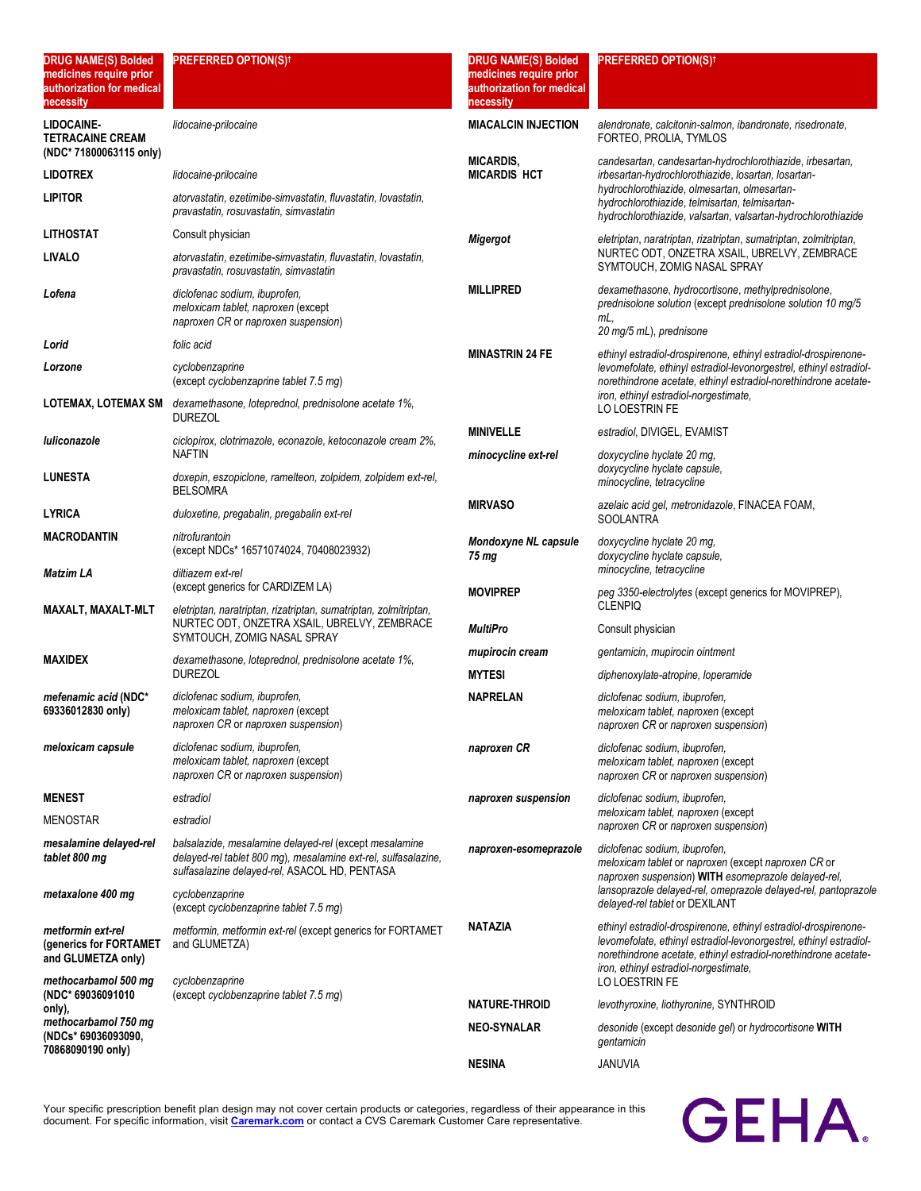| <b>DRUG NAME(S) Bolded</b><br>medicines require prior<br>authorization for medical<br>necessity | <b>PREFERRED OPTION(S)t</b>                                                                                                                                               | <b>DRUG NAME(S) Bolded</b><br>medicines require prior<br>authorization for medical<br>necessity | <b>PREFERRED OPTION(S)<sup>†</sup></b>                                                                                                                                                                                                            |
|-------------------------------------------------------------------------------------------------|---------------------------------------------------------------------------------------------------------------------------------------------------------------------------|-------------------------------------------------------------------------------------------------|---------------------------------------------------------------------------------------------------------------------------------------------------------------------------------------------------------------------------------------------------|
| LIDOCAINE-<br><b>TETRACAINE CREAM</b><br>(NDC* 71800063115 only)                                | lidocaine-prilocaine                                                                                                                                                      | <b>MIACALCIN INJECTION</b>                                                                      | alendronate, calcitonin-salmon, ibandronate, risedronate,<br>FORTEO, PROLIA, TYMLOS                                                                                                                                                               |
| <b>LIDOTREX</b>                                                                                 | lidocaine-prilocaine                                                                                                                                                      | <b>MICARDIS,</b><br><b>MICARDIS HCT</b>                                                         | candesartan, candesartan-hydrochlorothiazide, irbesartan,<br>irbesartan-hydrochlorothiazide, losartan, losartan-                                                                                                                                  |
| <b>LIPITOR</b>                                                                                  | atorvastatin, ezetimibe-simvastatin, fluvastatin, lovastatin,<br>pravastatin, rosuvastatin, simvastatin                                                                   |                                                                                                 | hydrochlorothiazide, olmesartan, olmesartan-<br>hydrochlorothiazide, telmisartan, telmisartan-<br>hydrochlorothiazide, valsartan, valsartan-hydrochlorothiazide                                                                                   |
| <b>LITHOSTAT</b>                                                                                | Consult physician                                                                                                                                                         | <b>Migergot</b>                                                                                 | eletriptan, naratriptan, rizatriptan, sumatriptan, zolmitriptan,                                                                                                                                                                                  |
| <b>LIVALO</b>                                                                                   | atorvastatin, ezetimibe-simvastatin, fluvastatin, lovastatin,<br>pravastatin, rosuvastatin, simvastatin                                                                   |                                                                                                 | NURTEC ODT, ONZETRA XSAIL, UBRELVY, ZEMBRACE<br>SYMTOUCH, ZOMIG NASAL SPRAY                                                                                                                                                                       |
| Lofena                                                                                          | diclofenac sodium, ibuprofen,<br>meloxicam tablet, naproxen (except<br>naproxen CR or naproxen suspension)                                                                | <b>MILLIPRED</b>                                                                                | dexamethasone, hydrocortisone, methylprednisolone,<br>prednisolone solution (except prednisolone solution 10 mg/5<br>mL.<br>20 mg/5 mL), prednisone                                                                                               |
| Lorid                                                                                           | folic acid                                                                                                                                                                | <b>MINASTRIN 24 FE</b>                                                                          | ethinyl estradiol-drospirenone, ethinyl estradiol-drospirenone-                                                                                                                                                                                   |
| Lorzone                                                                                         | cyclobenzaprine<br>(except cyclobenzaprine tablet 7.5 mg)                                                                                                                 |                                                                                                 | levomefolate, ethinyl estradiol-levonorgestrel, ethinyl estradiol-<br>norethindrone acetate, ethinyl estradiol-norethindrone acetate-                                                                                                             |
| <b>LOTEMAX, LOTEMAX SM</b>                                                                      | dexamethasone, loteprednol, prednisolone acetate 1%,<br>DUREZOL                                                                                                           |                                                                                                 | iron, ethinyl estradiol-norgestimate,<br>LO LOESTRIN FE                                                                                                                                                                                           |
| luliconazole                                                                                    | ciclopirox, clotrimazole, econazole, ketoconazole cream 2%,                                                                                                               | <b>MINIVELLE</b>                                                                                | estradiol, DIVIGEL, EVAMIST                                                                                                                                                                                                                       |
| <b>LUNESTA</b>                                                                                  | <b>NAFTIN</b><br>doxepin, eszopiclone, ramelteon, zolpidem, zolpidem ext-rel,<br>BELSOMRA                                                                                 | minocycline ext-rel                                                                             | doxycycline hyclate 20 mg,<br>doxycycline hyclate capsule,<br>minocycline, tetracycline                                                                                                                                                           |
| <b>LYRICA</b>                                                                                   | duloxetine, pregabalin, pregabalin ext-rel                                                                                                                                | <b>MIRVASO</b>                                                                                  | azelaic acid gel, metronidazole, FINACEA FOAM,<br><b>SOOLANTRA</b>                                                                                                                                                                                |
| <b>MACRODANTIN</b>                                                                              | nitrofurantoin<br>(except NDCs* 16571074024, 70408023932)                                                                                                                 | Mondoxyne NL capsule<br>75 mg                                                                   | doxycycline hyclate 20 mg,<br>doxycycline hyclate capsule,                                                                                                                                                                                        |
| Matzim LA                                                                                       | diltiazem ext-rel<br>(except generics for CARDIZEM LA)                                                                                                                    | <b>MOVIPREP</b>                                                                                 | minocycline, tetracycline<br>peg 3350-electrolytes (except generics for MOVIPREP),                                                                                                                                                                |
| MAXALT, MAXALT-MLT                                                                              | eletriptan, naratriptan, rizatriptan, sumatriptan, zolmitriptan,<br>NURTEC ODT, ONZETRA XSAIL, UBRELVY, ZEMBRACE<br>SYMTOUCH, ZOMIG NASAL SPRAY                           | <b>MultiPro</b>                                                                                 | <b>CLENPIQ</b><br>Consult physician                                                                                                                                                                                                               |
| <b>MAXIDEX</b>                                                                                  | dexamethasone, loteprednol, prednisolone acetate 1%,                                                                                                                      | mupirocin cream                                                                                 | gentamicin, mupirocin ointment                                                                                                                                                                                                                    |
|                                                                                                 | <b>DUREZOL</b>                                                                                                                                                            | <b>MYTESI</b>                                                                                   | diphenoxylate-atropine, loperamide                                                                                                                                                                                                                |
| mefenamic acid (NDC*<br>69336012830 only)                                                       | diclofenac sodium, ibuprofen,<br>meloxicam tablet, naproxen (except<br>naproxen CR or naproxen suspension)                                                                | <b>NAPRELAN</b>                                                                                 | diclofenac sodium, ibuprofen,<br>meloxicam tablet, naproxen (except<br>naproxen CR or naproxen suspension)                                                                                                                                        |
| meloxicam capsule                                                                               | diclofenac sodium, ibuprofen,<br>meloxicam tablet, naproxen (except<br>naproxen CR or naproxen suspension)                                                                | naproxen CR                                                                                     | diclofenac sodium, ibuprofen,<br>meloxicam tablet, naproxen (except<br>naproxen CR or naproxen suspension)                                                                                                                                        |
| <b>MENEST</b>                                                                                   | estradiol                                                                                                                                                                 | naproxen suspension                                                                             | diclofenac sodium, ibuprofen,                                                                                                                                                                                                                     |
| <b>MENOSTAR</b>                                                                                 | estradiol                                                                                                                                                                 |                                                                                                 | meloxicam tablet, naproxen (except<br>naproxen CR or naproxen suspension)                                                                                                                                                                         |
| mesalamine delayed-rel<br>tablet 800 mg                                                         | balsalazide, mesalamine delayed-rel (except mesalamine<br>delayed-rel tablet 800 mg), mesalamine ext-rel, sulfasalazine,<br>sulfasalazine delayed-rel, ASACOL HD, PENTASA | naproxen-esomeprazole                                                                           | diclofenac sodium, ibuprofen,<br>meloxicam tablet or naproxen (except naproxen CR or<br>naproxen suspension) WITH esomeprazole delayed-rel,                                                                                                       |
| metaxalone 400 mg                                                                               | cyclobenzaprine<br>(except cyclobenzaprine tablet 7.5 mg)                                                                                                                 |                                                                                                 | lansoprazole delayed-rel, omeprazole delayed-rel, pantoprazole<br>delayed-rel tablet or DEXILANT                                                                                                                                                  |
| metformin ext-rel<br>(generics for FORTAMET)<br>and GLUMETZA only)                              | metformin, metformin ext-rel (except generics for FORTAMET<br>and GLUMETZA)                                                                                               | <b>NATAZIA</b>                                                                                  | ethinyl estradiol-drospirenone, ethinyl estradiol-drospirenone-<br>levomefolate, ethinyl estradiol-levonorgestrel, ethinyl estradiol-<br>norethindrone acetate, ethinyl estradiol-norethindrone acetate-<br>iron, ethinyl estradiol-norgestimate, |
| methocarbamol 500 mg<br>(NDC* 69036091010                                                       | cyclobenzaprine<br>(except cyclobenzaprine tablet 7.5 mg)                                                                                                                 |                                                                                                 | LO LOESTRIN FE                                                                                                                                                                                                                                    |
| only),<br>methocarbamol 750 mg                                                                  |                                                                                                                                                                           | <b>NATURE THROID</b>                                                                            | levothyroxine, liothyronine, SYNTHROID                                                                                                                                                                                                            |
| (NDCs* 69036093090,<br>70868090190 only)                                                        |                                                                                                                                                                           | <b>NEO-SYNALAR</b>                                                                              | desonide (except desonide gel) or hydrocortisone WITH<br>gentamicin                                                                                                                                                                               |
|                                                                                                 |                                                                                                                                                                           | <b>NESINA</b>                                                                                   | JANUVIA                                                                                                                                                                                                                                           |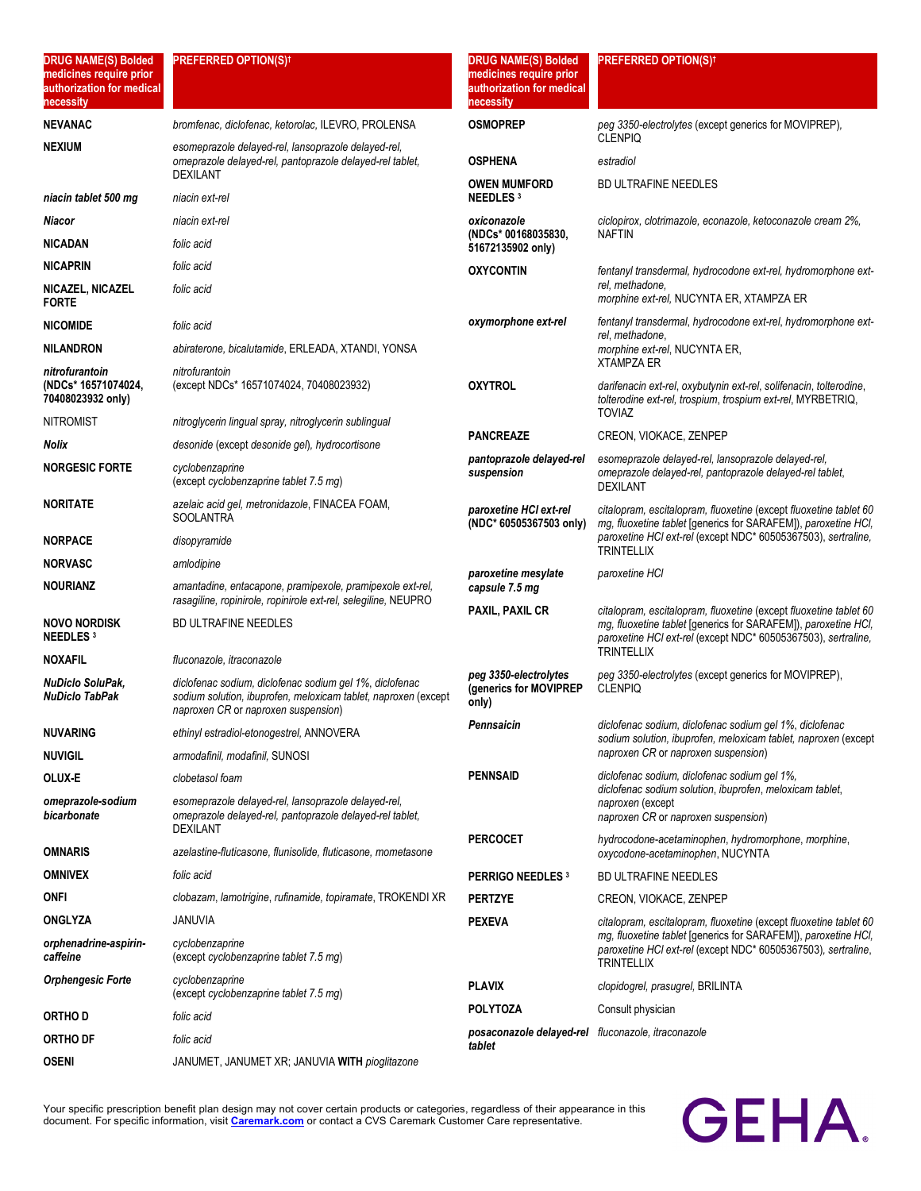| <b>DRUG NAME(S) Bolded</b><br>medicines require prior<br>authorization for medical<br>necessity | <b>PREFERRED OPTION(S)<sup>†</sup></b>                                                                                                                           | <b>DRUG NAME(S) Bolded</b><br>medicines require prior<br>authorization for medical<br>necessity | <b>PREFERRED OPTION(S)<sup>†</sup></b>                                                                                                                                                               |
|-------------------------------------------------------------------------------------------------|------------------------------------------------------------------------------------------------------------------------------------------------------------------|-------------------------------------------------------------------------------------------------|------------------------------------------------------------------------------------------------------------------------------------------------------------------------------------------------------|
| <b>NEVANAC</b>                                                                                  | bromfenac, diclofenac, ketorolac, ILEVRO, PROLENSA                                                                                                               | <b>OSMOPREP</b>                                                                                 | peg 3350-electrolytes (except generics for MOVIPREP),<br><b>CLENPIQ</b>                                                                                                                              |
| <b>NEXIUM</b>                                                                                   | esomeprazole delayed-rel, lansoprazole delayed-rel,<br>omeprazole delayed-rel, pantoprazole delayed-rel tablet,<br><b>DEXILANT</b>                               | <b>OSPHENA</b>                                                                                  | estradiol                                                                                                                                                                                            |
| niacin tablet 500 mg                                                                            | niacin ext-rel                                                                                                                                                   | <b>OWEN MUMFORD</b><br><b>NEEDLES 3</b>                                                         | <b>BD ULTRAFINE NEEDLES</b>                                                                                                                                                                          |
| Niacor                                                                                          | niacin ext-rel                                                                                                                                                   | oxiconazole                                                                                     | ciclopirox, clotrimazole, econazole, ketoconazole cream 2%,                                                                                                                                          |
| <b>NICADAN</b>                                                                                  | folic acid                                                                                                                                                       | (NDCs* 00168035830,<br>51672135902 only)                                                        | <b>NAFTIN</b>                                                                                                                                                                                        |
| <b>NICAPRIN</b>                                                                                 | folic acid                                                                                                                                                       | <b>OXYCONTIN</b>                                                                                | fentanyl transdermal, hydrocodone ext-rel, hydromorphone ext-                                                                                                                                        |
| NICAZEL, NICAZEL<br><b>FORTE</b>                                                                | folic acid                                                                                                                                                       |                                                                                                 | rel, methadone,<br>morphine ext-rel, NUCYNTA ER, XTAMPZA ER                                                                                                                                          |
| <b>NICOMIDE</b>                                                                                 | folic acid                                                                                                                                                       | oxymorphone ext-rel                                                                             | fentanyl transdermal, hydrocodone ext-rel, hydromorphone ext-<br>rel, methadone,                                                                                                                     |
| <b>NILANDRON</b>                                                                                | abiraterone, bicalutamide, ERLEADA, XTANDI, YONSA                                                                                                                |                                                                                                 | morphine ext-rel, NUCYNTA ER,<br><b>XTAMPZA ER</b>                                                                                                                                                   |
| nitrofurantoin<br>(NDCs* 16571074024,<br>70408023932 only)                                      | nitrofurantoin<br>(except NDCs* 16571074024, 70408023932)                                                                                                        | <b>OXYTROL</b>                                                                                  | darifenacin ext-rel, oxybutynin ext-rel, solifenacin, tolterodine,<br>tolterodine ext-rel, trospium, trospium ext-rel, MYRBETRIQ,                                                                    |
| <b>NITROMIST</b>                                                                                | nitroglycerin lingual spray, nitroglycerin sublingual                                                                                                            |                                                                                                 | <b>TOVIAZ</b>                                                                                                                                                                                        |
| Nolix                                                                                           | desonide (except desonide gel), hydrocortisone                                                                                                                   | <b>PANCREAZE</b>                                                                                | CREON, VIOKACE, ZENPEP                                                                                                                                                                               |
| <b>NORGESIC FORTE</b>                                                                           | cyclobenzaprine<br>(except cyclobenzaprine tablet 7.5 mg)                                                                                                        | pantoprazole delayed-rel<br>suspension                                                          | esomeprazole delayed-rel, lansoprazole delayed-rel,<br>omeprazole delayed-rel, pantoprazole delayed-rel tablet,<br><b>DEXILANT</b>                                                                   |
| <b>NORITATE</b>                                                                                 | azelaic acid gel, metronidazole, FINACEA FOAM,<br><b>SOOLANTRA</b>                                                                                               | paroxetine HCI ext-rel<br>(NDC* 60505367503 only)                                               | citalopram, escitalopram, fluoxetine (except fluoxetine tablet 60<br>mg, fluoxetine tablet [generics for SARAFEM]), paroxetine HCI,                                                                  |
| <b>NORPACE</b>                                                                                  | disopyramide                                                                                                                                                     |                                                                                                 | paroxetine HCl ext-rel (except NDC* 60505367503), sertraline,<br><b>TRINTELLIX</b>                                                                                                                   |
| <b>NORVASC</b>                                                                                  | amlodipine                                                                                                                                                       | paroxetine mesylate                                                                             | paroxetine HCI                                                                                                                                                                                       |
| <b>NOURIANZ</b>                                                                                 | amantadine, entacapone, pramipexole, pramipexole ext-rel,<br>rasagiline, ropinirole, ropinirole ext-rel, selegiline, NEUPRO                                      | capsule 7.5 mg                                                                                  | citalopram, escitalopram, fluoxetine (except fluoxetine tablet 60<br>mg, fluoxetine tablet [generics for SARAFEM]), paroxetine HCI,<br>paroxetine HCI ext-rel (except NDC* 60505367503), sertraline, |
| <b>NOVO NORDISK</b><br><b>NEEDLES</b> 3                                                         | <b>BD ULTRAFINE NEEDLES</b>                                                                                                                                      | <b>PAXIL, PAXIL CR</b>                                                                          |                                                                                                                                                                                                      |
| <b>NOXAFIL</b>                                                                                  | fluconazole, itraconazole                                                                                                                                        |                                                                                                 | <b>TRINTELLIX</b>                                                                                                                                                                                    |
| NuDiclo SoluPak,<br>NuDiclo TabPak                                                              | diclofenac sodium, diclofenac sodium gel 1%, diclofenac<br>sodium solution, ibuprofen, meloxicam tablet, naproxen (except<br>naproxen CR or naproxen suspension) | peg 3350-electrolytes<br>(generics for MOVIPREP<br>only)                                        | peg 3350-electrolytes (except generics for MOVIPREP),<br><b>CLENPIQ</b>                                                                                                                              |
| <b>NUVARING</b>                                                                                 | ethinyl estradiol-etonogestrel, ANNOVERA                                                                                                                         | Pennsaicin                                                                                      | diclofenac sodium, diclofenac sodium gel 1%, diclofenac<br>sodium solution, ibuprofen, meloxicam tablet, naproxen (except                                                                            |
| <b>NUVIGIL</b>                                                                                  | armodafinil, modafinil, SUNOSI                                                                                                                                   |                                                                                                 | naproxen CR or naproxen suspension)                                                                                                                                                                  |
| OLUX-E                                                                                          | clobetasol foam                                                                                                                                                  | <b>PENNSAID</b>                                                                                 | diclofenac sodium, diclofenac sodium gel 1%,<br>diclofenac sodium solution, ibuprofen, meloxicam tablet,                                                                                             |
| omeprazole-sodium<br>bicarbonate                                                                | esomeprazole delayed-rel, lansoprazole delayed-rel,<br>omeprazole delayed-rel, pantoprazole delayed-rel tablet,<br><b>DEXILANT</b>                               |                                                                                                 | naproxen (except<br>naproxen CR or naproxen suspension)                                                                                                                                              |
| <b>OMNARIS</b>                                                                                  | azelastine-fluticasone, flunisolide, fluticasone, mometasone                                                                                                     | <b>PERCOCET</b>                                                                                 | hydrocodone-acetaminophen, hydromorphone, morphine,<br>oxycodone-acetaminophen, NUCYNTA                                                                                                              |
| <b>OMNIVEX</b>                                                                                  | folic acid                                                                                                                                                       | <b>PERRIGO NEEDLES 3</b>                                                                        | BD ULTRAFINE NEEDLES                                                                                                                                                                                 |
| ONFI                                                                                            | clobazam, lamotrigine, rufinamide, topiramate, TROKENDI XR                                                                                                       | <b>PERTZYE</b>                                                                                  | CREON, VIOKACE, ZENPEP                                                                                                                                                                               |
| <b>ONGLYZA</b>                                                                                  | JANUVIA                                                                                                                                                          | <b>PEXEVA</b>                                                                                   | citalopram, escitalopram, fluoxetine (except fluoxetine tablet 60                                                                                                                                    |
| orphenadrine-aspirin-<br>caffeine                                                               | cyclobenzaprine<br>(except cyclobenzaprine tablet 7.5 mg)                                                                                                        |                                                                                                 | mg, fluoxetine tablet [generics for SARAFEM]), paroxetine HCl,<br>paroxetine HCl ext-rel (except NDC* 60505367503), sertraline,<br><b>TRINTELLIX</b>                                                 |
| <b>Orphengesic Forte</b>                                                                        | cyclobenzaprine<br>(except cyclobenzaprine tablet 7.5 mg)                                                                                                        | <b>PLAVIX</b>                                                                                   | clopidogrel, prasugrel, BRILINTA                                                                                                                                                                     |
| ORTHO D                                                                                         | folic acid                                                                                                                                                       | <b>POLYTOZA</b>                                                                                 | Consult physician                                                                                                                                                                                    |
| <b>ORTHO DF</b>                                                                                 | folic acid                                                                                                                                                       | posaconazole delayed-rel fluconazole, itraconazole<br>tablet                                    |                                                                                                                                                                                                      |
| <b>OSENI</b>                                                                                    | JANUMET, JANUMET XR; JANUVIA WITH pioglitazone                                                                                                                   |                                                                                                 |                                                                                                                                                                                                      |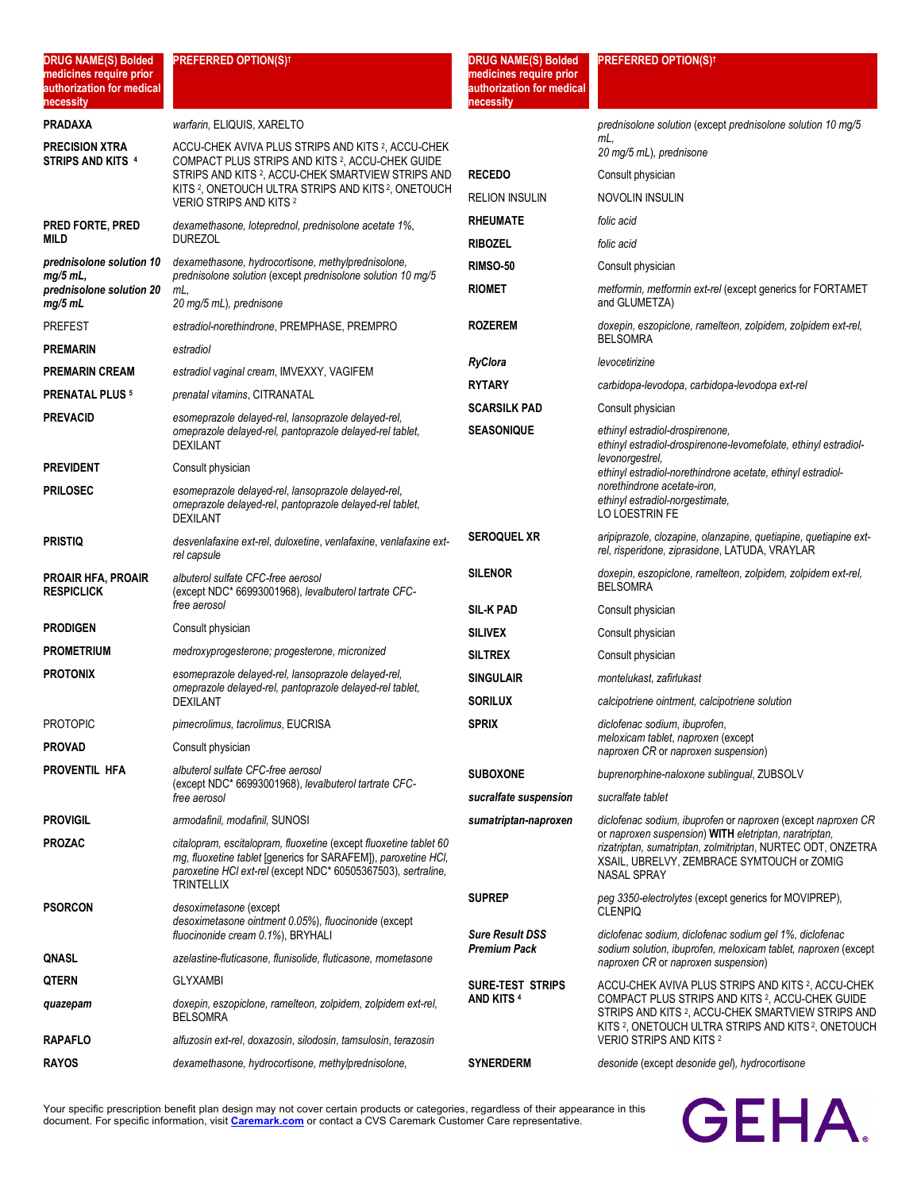| <b>DRUG NAME(S) Bolded</b><br>medicines require prior<br>authorization for medical<br>necessity | <b>PREFERRED OPTION(S)<sup>†</sup></b>                                                                                                                                                                                                                      | <b>DRUG NAME(S) Bolded</b><br>medicines require prior<br>authorization for medical<br>necessity | <b>PREFERRED OPTION(S)<sup>†</sup></b>                                                                                                                                                                                                                                      |
|-------------------------------------------------------------------------------------------------|-------------------------------------------------------------------------------------------------------------------------------------------------------------------------------------------------------------------------------------------------------------|-------------------------------------------------------------------------------------------------|-----------------------------------------------------------------------------------------------------------------------------------------------------------------------------------------------------------------------------------------------------------------------------|
| <b>PRADAXA</b>                                                                                  | warfarin, ELIQUIS, XARELTO                                                                                                                                                                                                                                  |                                                                                                 | prednisolone solution (except prednisolone solution 10 mg/5                                                                                                                                                                                                                 |
| <b>PRECISION XTRA</b><br><b>STRIPS AND KITS 4</b>                                               | ACCU-CHEK AVIVA PLUS STRIPS AND KITS <sup>2</sup> , ACCU-CHEK                                                                                                                                                                                               |                                                                                                 | mL.<br>20 mg/5 mL), prednisone                                                                                                                                                                                                                                              |
|                                                                                                 | COMPACT PLUS STRIPS AND KITS 2, ACCU-CHEK GUIDE<br>STRIPS AND KITS <sup>2</sup> , ACCU-CHEK SMARTVIEW STRIPS AND                                                                                                                                            | <b>RECEDO</b>                                                                                   | Consult physician                                                                                                                                                                                                                                                           |
|                                                                                                 | KITS <sup>2</sup> , ONETOUCH ULTRA STRIPS AND KITS <sup>2</sup> , ONETOUCH<br><b>VERIO STRIPS AND KITS 2</b>                                                                                                                                                | <b>RELION INSULIN</b>                                                                           | NOVOLIN INSULIN                                                                                                                                                                                                                                                             |
| PRED FORTE, PRED                                                                                | dexamethasone, loteprednol, prednisolone acetate 1%,                                                                                                                                                                                                        | <b>RHEUMATE</b>                                                                                 | folic acid                                                                                                                                                                                                                                                                  |
| MILD                                                                                            | <b>DUREZOL</b>                                                                                                                                                                                                                                              | <b>RIBOZEL</b>                                                                                  | folic acid                                                                                                                                                                                                                                                                  |
| prednisolone solution 10<br>$mg/5$ mL,                                                          | dexamethasone, hydrocortisone, methylprednisolone,<br>prednisolone solution (except prednisolone solution 10 mg/5                                                                                                                                           | <b>RIMSO-50</b>                                                                                 | Consult physician                                                                                                                                                                                                                                                           |
| prednisolone solution 20<br>mg/5mL                                                              | mL.<br>20 mg/5 mL), prednisone                                                                                                                                                                                                                              | <b>RIOMET</b>                                                                                   | metformin, metformin ext-rel (except generics for FORTAMET<br>and GLUMETZA)                                                                                                                                                                                                 |
| <b>PREFEST</b>                                                                                  | estradiol-norethindrone, PREMPHASE, PREMPRO                                                                                                                                                                                                                 | <b>ROZEREM</b>                                                                                  | doxepin, eszopiclone, ramelteon, zolpidem, zolpidem ext-rel,<br><b>BELSOMRA</b>                                                                                                                                                                                             |
| <b>PREMARIN</b>                                                                                 | estradiol                                                                                                                                                                                                                                                   | <b>RyClora</b>                                                                                  | levocetirizine                                                                                                                                                                                                                                                              |
| <b>PREMARIN CREAM</b>                                                                           | estradiol vaginal cream, IMVEXXY, VAGIFEM                                                                                                                                                                                                                   | <b>RYTARY</b>                                                                                   |                                                                                                                                                                                                                                                                             |
| <b>PRENATAL PLUS 5</b>                                                                          | prenatal vitamins, CITRANATAL                                                                                                                                                                                                                               | <b>SCARSILK PAD</b>                                                                             | carbidopa-levodopa, carbidopa-levodopa ext-rel<br>Consult physician                                                                                                                                                                                                         |
| <b>PREVACID</b>                                                                                 | esomeprazole delayed-rel, lansoprazole delayed-rel,<br>omeprazole delayed-rel, pantoprazole delayed-rel tablet,                                                                                                                                             | <b>SEASONIQUE</b>                                                                               | ethinyl estradiol-drospirenone.                                                                                                                                                                                                                                             |
|                                                                                                 | <b>DEXILANT</b>                                                                                                                                                                                                                                             |                                                                                                 | ethinyl estradiol-drospirenone-levomefolate, ethinyl estradiol-                                                                                                                                                                                                             |
| <b>PREVIDENT</b>                                                                                | Consult physician                                                                                                                                                                                                                                           |                                                                                                 | levonorgestrel,<br>ethinyl estradiol-norethindrone acetate, ethinyl estradiol-                                                                                                                                                                                              |
| <b>PRILOSEC</b>                                                                                 | esomeprazole delayed-rel, lansoprazole delayed-rel,<br>omeprazole delayed-rel, pantoprazole delayed-rel tablet,<br><b>DEXILANT</b>                                                                                                                          |                                                                                                 | norethindrone acetate-iron.<br>ethinyl estradiol-norgestimate,<br>LO LOESTRIN FE                                                                                                                                                                                            |
| <b>PRISTIQ</b>                                                                                  | desvenlafaxine ext-rel, duloxetine, venlafaxine, venlafaxine ext-<br>rel capsule                                                                                                                                                                            | <b>SEROQUEL XR</b>                                                                              | aripiprazole, clozapine, olanzapine, quetiapine, quetiapine ext-<br>rel, risperidone, ziprasidone, LATUDA, VRAYLAR                                                                                                                                                          |
| <b>PROAIR HFA, PROAIR</b><br><b>RESPICLICK</b>                                                  | albuterol sulfate CFC-free aerosol<br>(except NDC* 66993001968), levalbuterol tartrate CFC-                                                                                                                                                                 | <b>SILENOR</b>                                                                                  | doxepin, eszopiclone, ramelteon, zolpidem, zolpidem ext-rel,<br><b>BELSOMRA</b>                                                                                                                                                                                             |
|                                                                                                 | free aerosol                                                                                                                                                                                                                                                | <b>SIL KPAD</b>                                                                                 | Consult physician                                                                                                                                                                                                                                                           |
| <b>PRODIGEN</b><br><b>PROMETRIUM</b>                                                            | Consult physician                                                                                                                                                                                                                                           | <b>SILIVEX</b>                                                                                  | Consult physician                                                                                                                                                                                                                                                           |
| <b>PROTONIX</b>                                                                                 | medroxyprogesterone; progesterone, micronized                                                                                                                                                                                                               | <b>SILTREX</b>                                                                                  | Consult physician                                                                                                                                                                                                                                                           |
|                                                                                                 | esomeprazole delayed-rel, lansoprazole delayed-rel,<br>omeprazole delayed-rel, pantoprazole delayed-rel tablet,<br>DEXILANT                                                                                                                                 | <b>SINGULAIR</b><br><b>SORILUX</b>                                                              | montelukast, zafirlukast<br>calcipotriene ointment, calcipotriene solution                                                                                                                                                                                                  |
| PROTOPIC                                                                                        | pimecrolimus, tacrolimus, EUCRISA                                                                                                                                                                                                                           | <b>SPRIX</b>                                                                                    | diclofenac sodium, ibuprofen,                                                                                                                                                                                                                                               |
| <b>PROVAD</b>                                                                                   | Consult physician                                                                                                                                                                                                                                           |                                                                                                 | meloxicam tablet, naproxen (except                                                                                                                                                                                                                                          |
| PROVENTIL HFA                                                                                   | albuterol sulfate CFC-free aerosol                                                                                                                                                                                                                          |                                                                                                 | naproxen CR or naproxen suspension)                                                                                                                                                                                                                                         |
|                                                                                                 | (except NDC* 66993001968), levalbuterol tartrate CFC-                                                                                                                                                                                                       | <b>SUBOXONE</b>                                                                                 | buprenorphine-naloxone sublingual, ZUBSOLV                                                                                                                                                                                                                                  |
|                                                                                                 | free aerosol                                                                                                                                                                                                                                                | sucralfate suspension                                                                           | sucralfate tablet                                                                                                                                                                                                                                                           |
| <b>PROVIGIL</b><br><b>PROZAC</b>                                                                | armodafinil, modafinil, SUNOSI<br>citalopram, escitalopram, fluoxetine (except fluoxetine tablet 60<br>mg, fluoxetine tablet [generics for SARAFEM]), paroxetine HCI,<br>paroxetine HCI ext-rel (except NDC* 60505367503), sertraline,<br><b>TRINTELLIX</b> | sumatriptan-naproxen                                                                            | diclofenac sodium, ibuprofen or naproxen (except naproxen CR<br>or naproxen suspension) WITH eletriptan, naratriptan,<br>rizatriptan, sumatriptan, zolmitriptan, NURTEC ODT, ONZETRA<br>XSAIL, UBRELVY, ZEMBRACE SYMTOUCH or ZOMIG<br><b>NASAL SPRAY</b>                    |
| <b>PSORCON</b>                                                                                  | desoximetasone (except<br>desoximetasone ointment 0.05%), fluocinonide (except                                                                                                                                                                              | <b>SUPREP</b><br><b>Sure Result DSS</b>                                                         | peg 3350-electrolytes (except generics for MOVIPREP),<br><b>CLENPIQ</b><br>diclofenac sodium, diclofenac sodium gel 1%, diclofenac                                                                                                                                          |
| QNASL                                                                                           | fluocinonide cream 0.1%), BRYHALI<br>azelastine-fluticasone, flunisolide, fluticasone, mometasone                                                                                                                                                           | <b>Premium Pack</b>                                                                             | sodium solution, ibuprofen, meloxicam tablet, naproxen (except                                                                                                                                                                                                              |
| <b>QTERN</b>                                                                                    | GLYXAMBI                                                                                                                                                                                                                                                    |                                                                                                 | naproxen CR or naproxen suspension)                                                                                                                                                                                                                                         |
| quazepam                                                                                        | doxepin, eszopiclone, ramelteon, zolpidem, zolpidem ext-rel,<br><b>BELSOMRA</b>                                                                                                                                                                             | SURE-TEST STRIPS<br><b>AND KITS 4</b>                                                           | ACCU-CHEK AVIVA PLUS STRIPS AND KITS <sup>2</sup> , ACCU-CHEK<br>COMPACT PLUS STRIPS AND KITS <sup>2</sup> , ACCU-CHEK GUIDE<br>STRIPS AND KITS <sup>2</sup> , ACCU-CHEK SMARTVIEW STRIPS AND<br>KITS <sup>2</sup> , ONETOUCH ULTRA STRIPS AND KITS <sup>2</sup> , ONETOUCH |
| <b>RAPAFLO</b>                                                                                  | alfuzosin ext-rel, doxazosin, silodosin, tamsulosin, terazosin                                                                                                                                                                                              |                                                                                                 | VERIO STRIPS AND KITS 2                                                                                                                                                                                                                                                     |
| <b>RAYOS</b>                                                                                    | dexamethasone, hydrocortisone, methylprednisolone,                                                                                                                                                                                                          | <b>SYNERDERM</b>                                                                                | desonide (except desonide gel), hydrocortisone                                                                                                                                                                                                                              |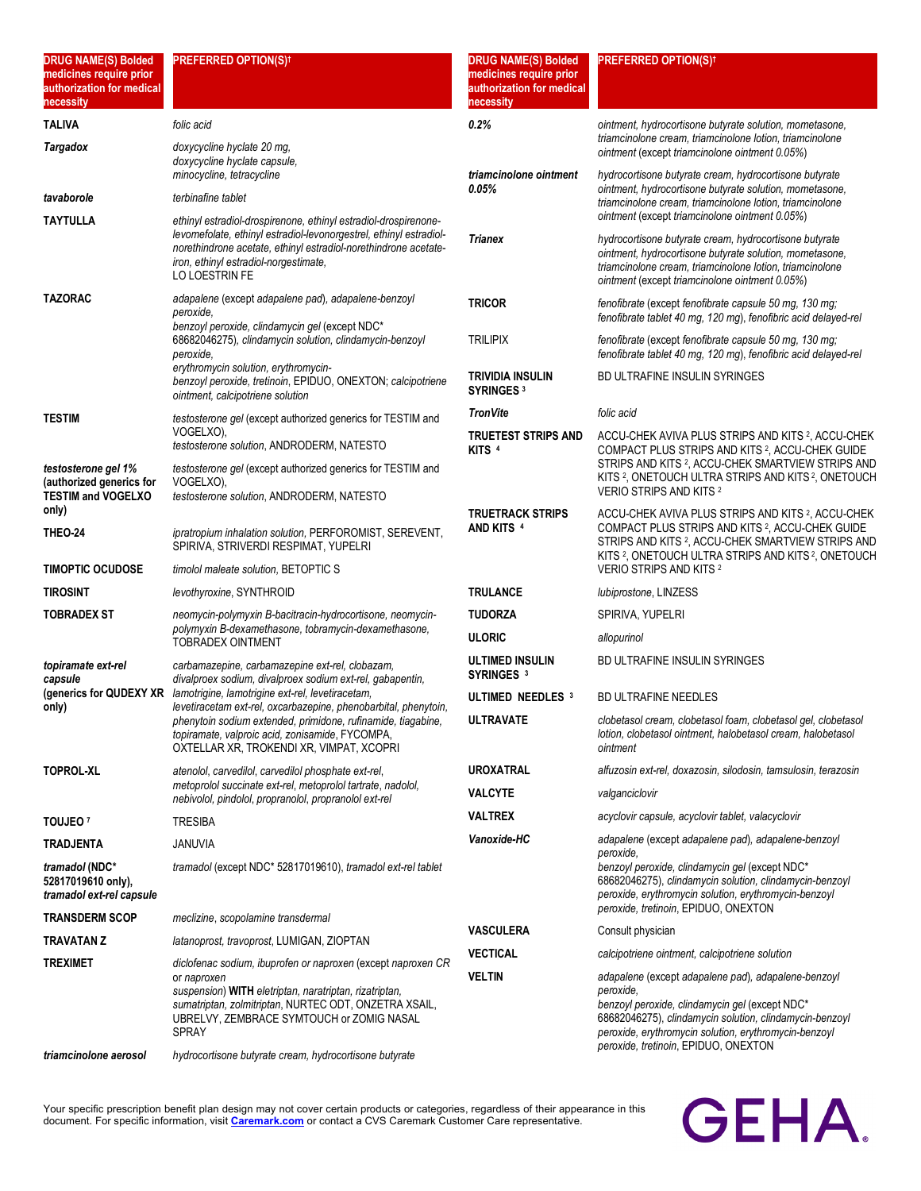| <b>DRUG NAME(S) Bolded</b><br>medicines require prior<br>authorization for medical<br>necessity | <b>PREFERRED OPTION(S)t</b>                                                                                                                                                                                                                                 | <b>DRUG NAME(S) Bolded</b><br>medicines require prior<br>authorization for medical<br>necessity | <b>PREFERRED OPTION(S)<sup>†</sup></b>                                                                                                                                                                                                                                         |
|-------------------------------------------------------------------------------------------------|-------------------------------------------------------------------------------------------------------------------------------------------------------------------------------------------------------------------------------------------------------------|-------------------------------------------------------------------------------------------------|--------------------------------------------------------------------------------------------------------------------------------------------------------------------------------------------------------------------------------------------------------------------------------|
| <b>TALIVA</b>                                                                                   | folic acid                                                                                                                                                                                                                                                  | 0.2%                                                                                            | ointment, hydrocortisone butyrate solution, mometasone,                                                                                                                                                                                                                        |
| <b>Targadox</b>                                                                                 | doxycycline hyclate 20 mg.<br>doxycycline hyclate capsule.<br>minocycline, tetracycline                                                                                                                                                                     | triamcinolone ointment                                                                          | triamcinolone cream, triamcinolone lotion, triamcinolone<br>ointment (except triamcinolone ointment 0.05%)<br>hydrocortisone butyrate cream, hydrocortisone butyrate                                                                                                           |
| tavaborole                                                                                      | terbinafine tablet                                                                                                                                                                                                                                          | 0.05%                                                                                           | ointment, hydrocortisone butyrate solution, mometasone,<br>triamcinolone cream, triamcinolone lotion, triamcinolone                                                                                                                                                            |
| <b>TAYTULLA</b>                                                                                 | ethinyl estradiol-drospirenone, ethinyl estradiol-drospirenone-                                                                                                                                                                                             |                                                                                                 | ointment (except triamcinolone ointment 0.05%)                                                                                                                                                                                                                                 |
|                                                                                                 | levomefolate, ethinyl estradiol-levonorgestrel, ethinyl estradiol-<br>norethindrone acetate, ethinyl estradiol-norethindrone acetate-<br>iron, ethinyl estradiol-norgestimate,<br>LO LOESTRIN FE                                                            | <b>Trianex</b>                                                                                  | hydrocortisone butyrate cream, hydrocortisone butyrate<br>ointment, hydrocortisone butyrate solution, mometasone,<br>triamcinolone cream, triamcinolone lotion, triamcinolone<br>ointment (except triamcinolone ointment 0.05%)                                                |
| <b>TAZORAC</b>                                                                                  | adapalene (except adapalene pad), adapalene-benzoyl<br>peroxide.<br>benzoyl peroxide, clindamycin gel (except NDC*                                                                                                                                          | <b>TRICOR</b>                                                                                   | fenofibrate (except fenofibrate capsule 50 mg, 130 mg;<br>fenofibrate tablet 40 mg, 120 mg), fenofibric acid delayed-rel                                                                                                                                                       |
|                                                                                                 | 68682046275), clindamycin solution, clindamycin-benzoyl<br>peroxide,                                                                                                                                                                                        | <b>TRILIPIX</b>                                                                                 | fenofibrate (except fenofibrate capsule 50 mg, 130 mg;<br>fenofibrate tablet 40 mg, 120 mg), fenofibric acid delayed-rel                                                                                                                                                       |
|                                                                                                 | erythromycin solution, erythromycin-<br>benzoyl peroxide, tretinoin, EPIDUO, ONEXTON; calcipotriene<br>ointment, calcipotriene solution                                                                                                                     | TRIVIDIA INSULIN<br><b>SYRINGES 3</b>                                                           | BD ULTRAFINE INSULIN SYRINGES                                                                                                                                                                                                                                                  |
| <b>TESTIM</b>                                                                                   | testosterone gel (except authorized generics for TESTIM and                                                                                                                                                                                                 | <b>TronVite</b>                                                                                 | folic acid                                                                                                                                                                                                                                                                     |
|                                                                                                 | VOGELXO),<br>testosterone solution, ANDRODERM, NATESTO                                                                                                                                                                                                      | TRUETEST STRIPS AND<br>KITS <sup>4</sup>                                                        | ACCU-CHEK AVIVA PLUS STRIPS AND KITS 2, ACCU-CHEK<br>COMPACT PLUS STRIPS AND KITS 2, ACCU-CHEK GUIDE                                                                                                                                                                           |
| testosterone gel 1%<br>(authorized generics for<br><b>TESTIM and VOGELXO</b>                    | testosterone gel (except authorized generics for TESTIM and<br>VOGELXO).<br>testosterone solution, ANDRODERM, NATESTO                                                                                                                                       |                                                                                                 | STRIPS AND KITS 2, ACCU-CHEK SMARTVIEW STRIPS AND<br>KITS <sup>2</sup> , ONETOUCH ULTRA STRIPS AND KITS <sup>2</sup> , ONETOUCH<br><b>VERIO STRIPS AND KITS 2</b>                                                                                                              |
| only)<br><b>THEO 24</b>                                                                         | ipratropium inhalation solution, PERFOROMIST, SEREVENT,<br>SPIRIVA, STRIVERDI RESPIMAT, YUPELRI                                                                                                                                                             | <b>TRUETRACK STRIPS</b><br>AND KITS 4                                                           | ACCU-CHEK AVIVA PLUS STRIPS AND KITS 2, ACCU-CHEK<br>COMPACT PLUS STRIPS AND KITS 2, ACCU-CHEK GUIDE<br>STRIPS AND KITS 2, ACCU-CHEK SMARTVIEW STRIPS AND<br>KITS 2, ONETOUCH ULTRA STRIPS AND KITS 2, ONETOUCH                                                                |
| <b>TIMOPTIC OCUDOSE</b>                                                                         | timolol maleate solution, BETOPTIC S                                                                                                                                                                                                                        |                                                                                                 | <b>VERIO STRIPS AND KITS 2</b>                                                                                                                                                                                                                                                 |
| <b>TIROSINT</b>                                                                                 | levothyroxine, SYNTHROID                                                                                                                                                                                                                                    | TRULANCE                                                                                        | lubiprostone, LINZESS                                                                                                                                                                                                                                                          |
| <b>TOBRADEX ST</b>                                                                              | neomycin-polymyxin B-bacitracin-hydrocortisone, neomycin-<br>polymyxin B-dexamethasone, tobramycin-dexamethasone,                                                                                                                                           | <b>TUDORZA</b>                                                                                  | SPIRIVA, YUPELRI                                                                                                                                                                                                                                                               |
|                                                                                                 | <b>TOBRADEX OINTMENT</b>                                                                                                                                                                                                                                    | <b>ULORIC</b>                                                                                   | allopurinol                                                                                                                                                                                                                                                                    |
| topiramate ext-rel<br>capsule                                                                   | carbamazepine, carbamazepine ext-rel, clobazam,<br>divalproex sodium, divalproex sodium ext-rel, gabapentin,                                                                                                                                                | ULTIMED INSULIN<br>SYRINGES <sup>3</sup>                                                        | <b>BD ULTRAFINE INSULIN SYRINGES</b>                                                                                                                                                                                                                                           |
| (generics for QUDEXY XR<br>only)                                                                | lamotrigine, lamotrigine ext-rel, levetiracetam,<br>levetiracetam ext-rel, oxcarbazepine, phenobarbital, phenytoin,                                                                                                                                         | ULTIMED NEEDLES 3                                                                               | <b>BD ULTRAFINE NEEDLES</b>                                                                                                                                                                                                                                                    |
|                                                                                                 | phenytoin sodium extended, primidone, rufinamide, tiagabine,<br>topiramate, valproic acid, zonisamide, FYCOMPA,<br>OXTELLAR XR, TROKENDI XR, VIMPAT, XCOPRI                                                                                                 | <b>ULTRAVATE</b>                                                                                | clobetasol cream, clobetasol foam, clobetasol gel, clobetasol<br>lotion, clobetasol ointment, halobetasol cream, halobetasol<br>ointment                                                                                                                                       |
| <b>TOPROL-XL</b>                                                                                | atenolol, carvedilol, carvedilol phosphate ext-rel,                                                                                                                                                                                                         | <b>UROXATRAL</b>                                                                                | alfuzosin ext-rel, doxazosin, silodosin, tamsulosin, terazosin                                                                                                                                                                                                                 |
|                                                                                                 | metoprolol succinate ext-rel, metoprolol tartrate, nadolol,<br>nebivolol, pindolol, propranolol, propranolol ext-rel                                                                                                                                        | <b>VALCYTE</b>                                                                                  | valganciclovir                                                                                                                                                                                                                                                                 |
| TOUJEO <sup>7</sup>                                                                             | <b>TRESIBA</b>                                                                                                                                                                                                                                              | <b>VALTREX</b>                                                                                  | acyclovir capsule, acyclovir tablet, valacyclovir                                                                                                                                                                                                                              |
| <b>TRADJENTA</b>                                                                                | JANUVIA                                                                                                                                                                                                                                                     | Vanoxide-HC                                                                                     | adapalene (except adapalene pad), adapalene-benzoyl<br>peroxide,                                                                                                                                                                                                               |
| tramadol (NDC*<br>52817019610 only),<br>tramadol ext-rel capsule                                | tramadol (except NDC* 52817019610), tramadol ext-rel tablet                                                                                                                                                                                                 |                                                                                                 | benzoyl peroxide, clindamycin gel (except NDC*<br>68682046275), clindamycin solution, clindamycin-benzoyl<br>peroxide, erythromycin solution, erythromycin-benzoyl<br>peroxide, tretinoin, EPIDUO, ONEXTON                                                                     |
| <b>TRANSDERM SCOP</b>                                                                           | meclizine, scopolamine transdermal                                                                                                                                                                                                                          | <b>VASCULERA</b>                                                                                | Consult physician                                                                                                                                                                                                                                                              |
| <b>TRAVATAN Z</b>                                                                               | latanoprost, travoprost, LUMIGAN, ZIOPTAN                                                                                                                                                                                                                   | <b>VECTICAL</b>                                                                                 | calcipotriene ointment, calcipotriene solution                                                                                                                                                                                                                                 |
| <b>TREXIMET</b>                                                                                 | diclofenac sodium, ibuprofen or naproxen (except naproxen CR<br>or naproxen<br>suspension) WITH eletriptan, naratriptan, rizatriptan,<br>sumatriptan, zolmitriptan, NURTEC ODT, ONZETRA XSAIL,<br>UBRELVY, ZEMBRACE SYMTOUCH or ZOMIG NASAL<br><b>SPRAY</b> | <b>VELTIN</b>                                                                                   | adapalene (except adapalene pad), adapalene-benzoyl<br>peroxide,<br>benzoyl peroxide, clindamycin gel (except NDC*<br>68682046275), clindamycin solution, clindamycin-benzoyl<br>peroxide, erythromycin solution, erythromycin-benzoyl<br>peroxide, tretinoin, EPIDUO, ONEXTON |
| triamcinolone aerosol                                                                           | hydrocortisone butyrate cream, hydrocortisone butyrate                                                                                                                                                                                                      |                                                                                                 |                                                                                                                                                                                                                                                                                |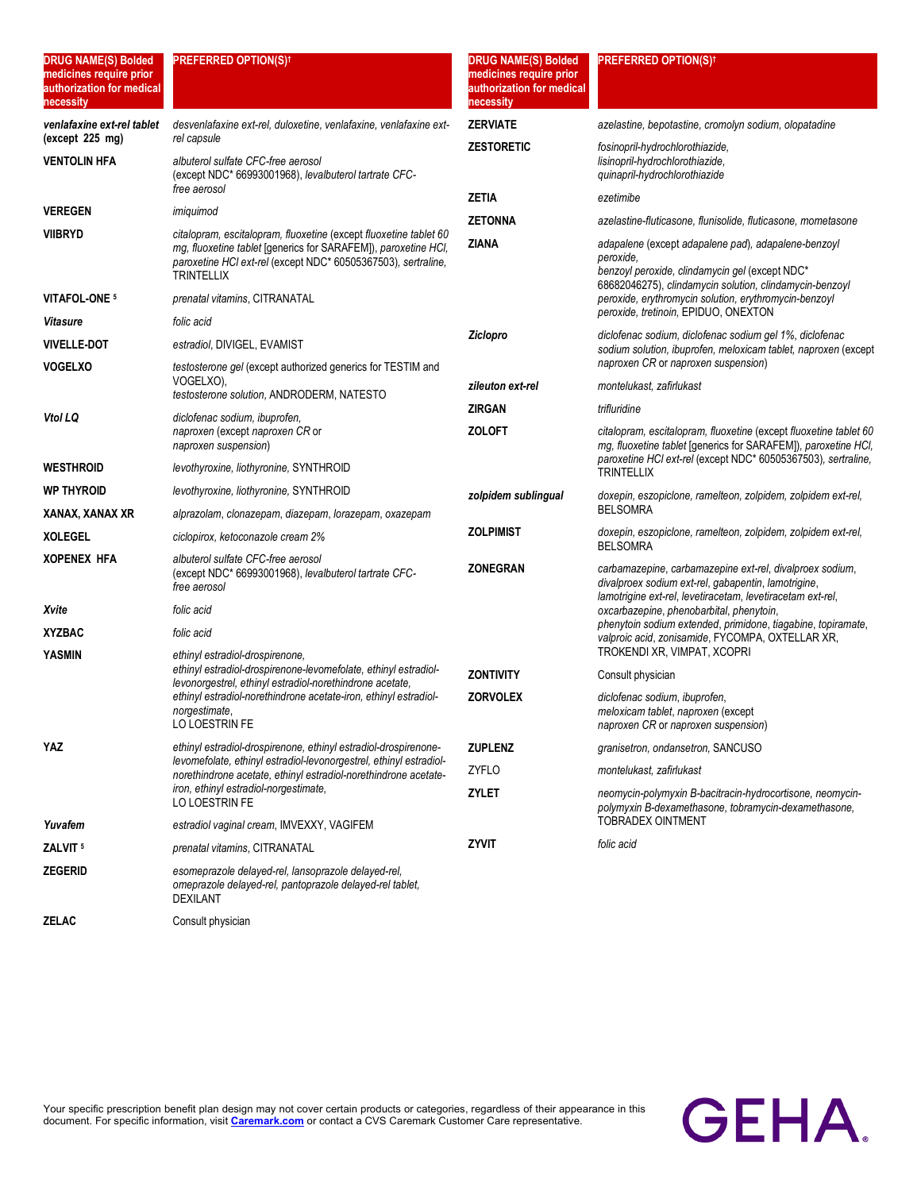| <b>DRUG NAME(S) Bolded</b><br>medicines require prior<br>authorization for medical<br>necessity | <b>PREFERRED OPTION(S)<sup>†</sup></b>                                                                                                               | <b>DRUG NAME(S) Bolded</b><br>medicines require prior<br>authorization for medical<br>necessity | <b>PREFERRED OPTION(S)<sup>†</sup></b>                                                                                                                                        |
|-------------------------------------------------------------------------------------------------|------------------------------------------------------------------------------------------------------------------------------------------------------|-------------------------------------------------------------------------------------------------|-------------------------------------------------------------------------------------------------------------------------------------------------------------------------------|
| venlafaxine ext-rel tablet                                                                      | desvenlafaxine ext-rel, duloxetine, venlafaxine, venlafaxine ext-                                                                                    | <b>ZERVIATE</b>                                                                                 | azelastine, bepotastine, cromolyn sodium, olopatadine                                                                                                                         |
| (except 225 mg)<br><b>VENTOLIN HFA</b>                                                          | rel capsule<br>albuterol sulfate CFC-free aerosol<br>(except NDC* 66993001968), levalbuterol tartrate CFC-<br>free aerosol                           | <b>ZESTORETIC</b>                                                                               | fosinopril-hydrochlorothiazide,<br>lisinopril-hydrochlorothiazide,<br>quinapril-hydrochlorothiazide                                                                           |
| <b>VEREGEN</b>                                                                                  | imiquimod                                                                                                                                            | <b>ZETIA</b>                                                                                    | ezetimibe                                                                                                                                                                     |
| <b>VIIBRYD</b>                                                                                  | citalopram, escitalopram, fluoxetine (except fluoxetine tablet 60                                                                                    | <b>ZETONNA</b>                                                                                  | azelastine-fluticasone, flunisolide, fluticasone, mometasone                                                                                                                  |
|                                                                                                 | mg, fluoxetine tablet [generics for SARAFEM]), paroxetine HCI,<br>paroxetine HCl ext-rel (except NDC* 60505367503), sertraline,<br><b>TRINTELLIX</b> | ZIANA                                                                                           | adapalene (except adapalene pad), adapalene-benzoyl<br>peroxide.<br>benzoyl peroxide, clindamycin gel (except NDC*<br>68682046275), clindamycin solution, clindamycin-benzoyl |
| VITAFOL-ONE <sup>5</sup>                                                                        | prenatal vitamins, CITRANATAL                                                                                                                        |                                                                                                 | peroxide, erythromycin solution, erythromycin-benzoyl                                                                                                                         |
| <b>Vitasure</b>                                                                                 | folic acid                                                                                                                                           |                                                                                                 | peroxide, tretinoin, EPIDUO, ONEXTON                                                                                                                                          |
| <b>VIVELLE-DOT</b>                                                                              | estradiol, DIVIGEL, EVAMIST                                                                                                                          | Ziclopro                                                                                        | diclofenac sodium, diclofenac sodium gel 1%, diclofenac<br>sodium solution, ibuprofen, meloxicam tablet, naproxen (except                                                     |
| <b>VOGELXO</b>                                                                                  | testosterone gel (except authorized generics for TESTIM and                                                                                          |                                                                                                 | naproxen CR or naproxen suspension)                                                                                                                                           |
|                                                                                                 | VOGELXO),<br>testosterone solution, ANDRODERM, NATESTO                                                                                               | zileuton ext-rel                                                                                | montelukast, zafirlukast                                                                                                                                                      |
| Vtol LQ                                                                                         | diclofenac sodium, ibuprofen,                                                                                                                        | <b>ZIRGAN</b>                                                                                   | trifluridine                                                                                                                                                                  |
|                                                                                                 | naproxen (except naproxen CR or<br>naproxen suspension)                                                                                              | <b>ZOLOFT</b>                                                                                   | citalopram, escitalopram, fluoxetine (except fluoxetine tablet 60<br>mq, fluoxetine tablet [qenerics for SARAFEM]), paroxetine HCI,                                           |
| <b>WESTHROID</b>                                                                                | levothyroxine, liothyronine, SYNTHROID                                                                                                               |                                                                                                 | paroxetine HCI ext-rel (except NDC* 60505367503), sertraline,<br><b>TRINTELLIX</b>                                                                                            |
| <b>WP THYROID</b>                                                                               | levothyroxine, liothyronine, SYNTHROID                                                                                                               | zolpidem sublingual                                                                             | doxepin, eszopiclone, ramelteon, zolpidem, zolpidem ext-rel,<br><b>BELSOMRA</b>                                                                                               |
| XANAX, XANAX XR                                                                                 | alprazolam, clonazepam, diazepam, lorazepam, oxazepam                                                                                                |                                                                                                 |                                                                                                                                                                               |
| <b>XOLEGEL</b>                                                                                  | ciclopirox, ketoconazole cream 2%                                                                                                                    | Zolpimist                                                                                       | doxepin, eszopiclone, ramelteon, zolpidem, zolpidem ext-rel,<br><b>BELSOMRA</b>                                                                                               |
| <b>XOPENEX HFA</b>                                                                              | albuterol sulfate CFC-free aerosol<br>(except NDC* 66993001968), levalbuterol tartrate CFC-<br>free aerosol                                          | ZONEGRAN                                                                                        | carbamazepine, carbamazepine ext-rel, divalproex sodium,<br>divalproex sodium ext-rel, gabapentin, lamotrigine,<br>lamotrigine ext-rel, levetiracetam, levetiracetam ext-rel, |
| Xvite                                                                                           | folic acid                                                                                                                                           |                                                                                                 | oxcarbazepine, phenobarbital, phenytoin,                                                                                                                                      |
| <b>XYZBAC</b>                                                                                   | folic acid                                                                                                                                           |                                                                                                 | phenytoin sodium extended, primidone, tiagabine, topiramate,<br>valproic acid, zonisamide, FYCOMPA, OXTELLAR XR,                                                              |
| <b>YASMIN</b>                                                                                   | ethinyl estradiol-drospirenone.<br>ethinyl estradiol-drospirenone-levomefolate, ethinyl estradiol-                                                   |                                                                                                 | TROKENDI XR, VIMPAT, XCOPRI                                                                                                                                                   |
|                                                                                                 | levonorgestrel, ethinyl estradiol-norethindrone acetate,<br>ethinyl estradiol-norethindrone acetate-iron, ethinyl estradiol-                         | <b>ZONTIVITY</b><br><b>ZORVOLEX</b>                                                             | Consult physician                                                                                                                                                             |
|                                                                                                 | norgestimate,<br>LO LOESTRIN FE                                                                                                                      |                                                                                                 | diclofenac sodium, ibuprofen,<br>meloxicam tablet, naproxen (except<br>naproxen CR or naproxen suspension)                                                                    |
| YAZ                                                                                             | ethinyl estradiol-drospirenone, ethinyl estradiol-drospirenone-                                                                                      | <b>ZUPLENZ</b>                                                                                  | granisetron, ondansetron, SANCUSO                                                                                                                                             |
|                                                                                                 | levomefolate, ethinyl estradiol-levonorgestrel, ethinyl estradiol-<br>norethindrone acetate, ethinyl estradiol-norethindrone acetate-                | ZYFLO                                                                                           | montelukast, zafirlukast                                                                                                                                                      |
|                                                                                                 | iron, ethinyl estradiol-norgestimate,<br>LO LOESTRIN FE                                                                                              | ZYLET                                                                                           | neomycin-polymyxin B-bacitracin-hydrocortisone, neomycin-<br>polymyxin B-dexamethasone, tobramycin-dexamethasone,                                                             |
| Yuvafem                                                                                         | estradiol vaginal cream, IMVEXXY, VAGIFEM                                                                                                            |                                                                                                 | <b>TOBRADEX OINTMENT</b>                                                                                                                                                      |
| ZALVIT <sup>5</sup>                                                                             | prenatal vitamins, CITRANATAL                                                                                                                        | <b>ZYVIT</b>                                                                                    | folic acid                                                                                                                                                                    |
| <b>ZEGERID</b>                                                                                  | esomeprazole delayed-rel, lansoprazole delayed-rel,<br>omeprazole delayed-rel, pantoprazole delayed-rel tablet,<br><b>DEXILANT</b>                   |                                                                                                 |                                                                                                                                                                               |
| ZELAC                                                                                           | Consult physician                                                                                                                                    |                                                                                                 |                                                                                                                                                                               |